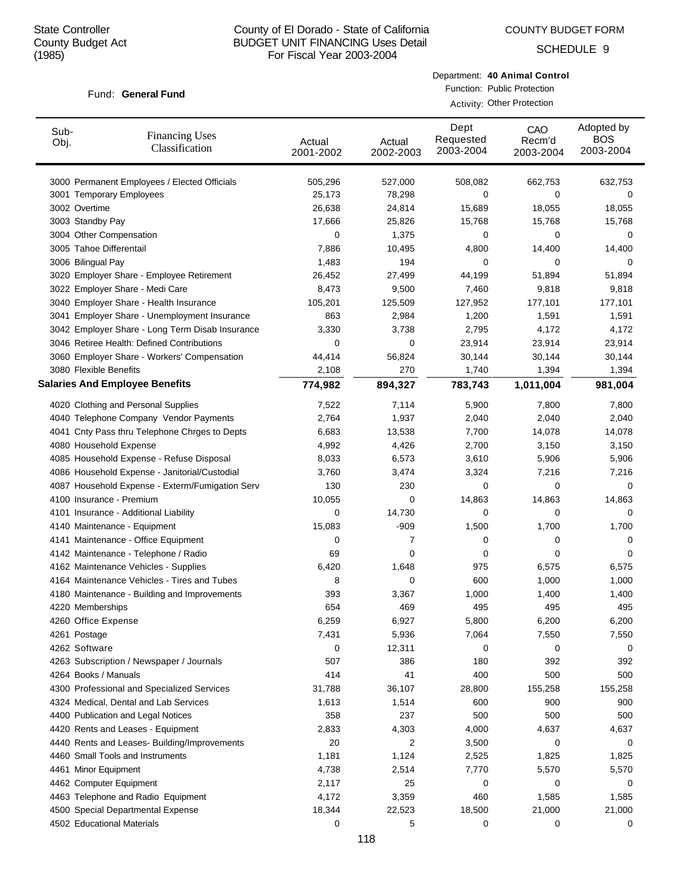COUNTY BUDGET FORM

SCHEDULE 9

#### Fund: General Fund

Department: **40 Animal Control** Function: Public Protection

Activity: Other Protection

| Sub-<br>Obj. | <b>Financing Uses</b><br>Classification         | Actual<br>2001-2002 | Actual<br>2002-2003 | Dept<br>Requested<br>2003-2004 | CAO<br>Recm'd<br>2003-2004 | Adopted by<br><b>BOS</b><br>2003-2004 |
|--------------|-------------------------------------------------|---------------------|---------------------|--------------------------------|----------------------------|---------------------------------------|
|              | 3000 Permanent Employees / Elected Officials    | 505,296             | 527,000             | 508,082                        | 662,753                    | 632,753                               |
|              | 3001 Temporary Employees                        | 25,173              | 78,298              | 0                              | 0                          | 0                                     |
|              | 3002 Overtime                                   | 26,638              | 24,814              | 15,689                         | 18,055                     | 18,055                                |
|              | 3003 Standby Pay                                | 17,666              | 25,826              | 15,768                         | 15,768                     | 15,768                                |
|              | 3004 Other Compensation                         | 0                   | 1,375               | 0                              | 0                          | 0                                     |
|              | 3005 Tahoe Differentail                         | 7,886               | 10,495              | 4,800                          | 14,400                     | 14,400                                |
|              | 3006 Bilingual Pay                              | 1,483               | 194                 | 0                              | 0                          | 0                                     |
|              | 3020 Employer Share - Employee Retirement       | 26,452              | 27,499              | 44,199                         | 51,894                     | 51,894                                |
|              | 3022 Employer Share - Medi Care                 | 8,473               | 9,500               | 7,460                          | 9,818                      | 9,818                                 |
|              | 3040 Employer Share - Health Insurance          | 105,201             | 125,509             | 127,952                        | 177,101                    | 177,101                               |
|              | 3041 Employer Share - Unemployment Insurance    | 863                 | 2,984               | 1,200                          | 1,591                      | 1,591                                 |
|              | 3042 Employer Share - Long Term Disab Insurance | 3,330               | 3,738               | 2,795                          | 4,172                      | 4,172                                 |
|              | 3046 Retiree Health: Defined Contributions      | 0                   | 0                   | 23,914                         | 23,914                     | 23,914                                |
|              | 3060 Employer Share - Workers' Compensation     | 44,414              | 56,824              | 30,144                         | 30,144                     | 30,144                                |
|              | 3080 Flexible Benefits                          | 2,108               | 270                 | 1,740                          | 1,394                      | 1,394                                 |
|              | <b>Salaries And Employee Benefits</b>           | 774,982             | 894,327             | 783,743                        | 1,011,004                  | 981,004                               |
|              | 4020 Clothing and Personal Supplies             | 7,522               | 7,114               | 5,900                          | 7,800                      | 7,800                                 |
|              | 4040 Telephone Company Vendor Payments          | 2,764               | 1,937               | 2,040                          | 2,040                      | 2,040                                 |
|              | 4041 Cnty Pass thru Telephone Chrges to Depts   | 6,683               | 13,538              | 7,700                          | 14,078                     | 14,078                                |
|              | 4080 Household Expense                          | 4,992               | 4,426               | 2,700                          | 3,150                      | 3,150                                 |
|              | 4085 Household Expense - Refuse Disposal        | 8,033               | 6,573               | 3,610                          | 5,906                      | 5,906                                 |
|              | 4086 Household Expense - Janitorial/Custodial   | 3,760               | 3,474               | 3,324                          | 7,216                      | 7,216                                 |
|              | 4087 Household Expense - Exterm/Fumigation Serv | 130                 | 230                 | 0                              | 0                          | 0                                     |
|              | 4100 Insurance - Premium                        | 10,055              | 0                   | 14,863                         | 14,863                     | 14,863                                |
|              | 4101 Insurance - Additional Liability           | 0                   | 14,730              | 0                              | 0                          | 0                                     |
|              | 4140 Maintenance - Equipment                    | 15,083              | $-909$              | 1,500                          | 1,700                      | 1,700                                 |
|              | 4141 Maintenance - Office Equipment             | 0                   | 7                   | 0                              | 0                          | 0                                     |
|              | 4142 Maintenance - Telephone / Radio            | 69                  | 0                   | 0                              | 0                          | 0                                     |
|              | 4162 Maintenance Vehicles - Supplies            | 6,420               | 1,648               | 975                            | 6,575                      | 6,575                                 |
|              | 4164 Maintenance Vehicles - Tires and Tubes     | 8                   | 0                   | 600                            | 1,000                      | 1,000                                 |
|              | 4180 Maintenance - Building and Improvements    | 393                 | 3,367               | 1,000                          | 1,400                      | 1,400                                 |
|              | 4220 Memberships                                | 654                 | 469                 | 495                            | 495                        | 495                                   |
|              | 4260 Office Expense                             | 6,259               | 6,927               | 5,800                          | 6,200                      | 6,200                                 |
|              | 4261 Postage                                    | 7,431               | 5,936               | 7,064                          | 7,550                      | 7,550                                 |
|              | 4262 Software                                   | 0                   | 12,311              | 0                              | 0                          | 0                                     |
|              | 4263 Subscription / Newspaper / Journals        | 507                 | 386                 | 180                            | 392                        | 392                                   |
|              | 4264 Books / Manuals                            | 414                 | 41                  | 400                            | 500                        | 500                                   |
|              | 4300 Professional and Specialized Services      | 31,788              | 36,107              | 28,800                         | 155,258                    | 155,258                               |
|              | 4324 Medical, Dental and Lab Services           | 1,613               | 1,514               | 600                            | 900                        | 900                                   |
|              | 4400 Publication and Legal Notices              | 358                 | 237                 | 500                            | 500                        | 500                                   |
|              | 4420 Rents and Leases - Equipment               | 2,833               | 4,303               | 4,000                          | 4,637                      | 4,637                                 |
|              | 4440 Rents and Leases- Building/Improvements    | 20                  | 2                   | 3,500                          | 0                          | 0                                     |
|              | 4460 Small Tools and Instruments                | 1,181               | 1,124               | 2,525                          | 1,825                      | 1,825                                 |
|              | 4461 Minor Equipment                            | 4,738               | 2,514               | 7,770                          | 5,570                      | 5,570                                 |
|              | 4462 Computer Equipment                         | 2,117               | 25                  | 0                              | 0                          | 0                                     |
|              | 4463 Telephone and Radio Equipment              | 4,172               | 3,359               | 460                            | 1,585                      | 1,585                                 |
|              | 4500 Special Departmental Expense               | 18,344              | 22,523              | 18,500                         | 21,000                     | 21,000                                |
|              | 4502 Educational Materials                      | 0                   | 5                   | 0                              | 0                          | 0                                     |
|              |                                                 |                     |                     |                                |                            |                                       |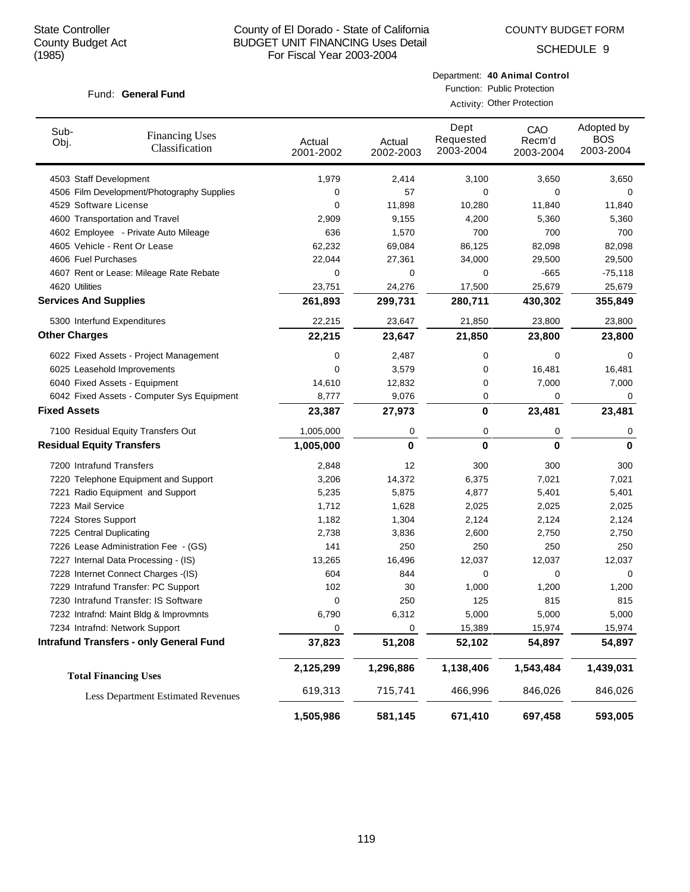COUNTY BUDGET FORM

SCHEDULE 9

#### Fund: General Fund

Department: **40 Animal Control** Function: Public Protection

Activity: Other Protection

| Sub-<br>Obj.                     | <b>Financing Uses</b><br>Classification        | Actual<br>2001-2002 | Actual<br>2002-2003 | Dept<br>Requested<br>2003-2004 | CAO<br>Recm'd<br>2003-2004 | Adopted by<br><b>BOS</b><br>2003-2004 |
|----------------------------------|------------------------------------------------|---------------------|---------------------|--------------------------------|----------------------------|---------------------------------------|
| 4503 Staff Development           |                                                | 1,979               | 2,414               | 3,100                          | 3,650                      | 3,650                                 |
|                                  | 4506 Film Development/Photography Supplies     | 0                   | 57                  | 0                              | 0                          | 0                                     |
| 4529 Software License            |                                                | 0                   | 11,898              | 10,280                         | 11,840                     | 11,840                                |
|                                  | 4600 Transportation and Travel                 | 2,909               | 9,155               | 4,200                          | 5,360                      | 5,360                                 |
|                                  | 4602 Employee - Private Auto Mileage           | 636                 | 1,570               | 700                            | 700                        | 700                                   |
|                                  | 4605 Vehicle - Rent Or Lease                   | 62,232              | 69,084              | 86,125                         | 82,098                     | 82,098                                |
| 4606 Fuel Purchases              |                                                | 22,044              | 27,361              | 34,000                         | 29,500                     | 29,500                                |
|                                  | 4607 Rent or Lease: Mileage Rate Rebate        | 0                   | 0                   | 0                              | -665                       | $-75,118$                             |
| 4620 Utilities                   |                                                | 23,751              | 24,276              | 17,500                         | 25,679                     | 25,679                                |
| <b>Services And Supplies</b>     |                                                | 261,893             | 299,731             | 280,711                        | 430,302                    | 355,849                               |
|                                  | 5300 Interfund Expenditures                    | 22,215              | 23,647              | 21,850                         | 23,800                     | 23,800                                |
| <b>Other Charges</b>             |                                                | 22,215              | 23,647              | 21,850                         | 23,800                     | 23,800                                |
|                                  | 6022 Fixed Assets - Project Management         | 0                   | 2,487               | 0                              | 0                          | 0                                     |
|                                  | 6025 Leasehold Improvements                    | 0                   | 3,579               | 0                              | 16,481                     | 16,481                                |
|                                  | 6040 Fixed Assets - Equipment                  | 14,610              | 12,832              | 0                              | 7,000                      | 7,000                                 |
|                                  | 6042 Fixed Assets - Computer Sys Equipment     | 8,777               | 9,076               | 0                              | 0                          | 0                                     |
| <b>Fixed Assets</b>              |                                                | 23,387              | 27,973              | 0                              | 23,481                     | 23,481                                |
|                                  | 7100 Residual Equity Transfers Out             | 1,005,000           | 0                   | 0                              | 0                          | 0                                     |
| <b>Residual Equity Transfers</b> |                                                | 1,005,000           | 0                   | 0                              | 0                          | $\bf{0}$                              |
| 7200 Intrafund Transfers         |                                                | 2,848               | 12                  | 300                            | 300                        | 300                                   |
|                                  | 7220 Telephone Equipment and Support           | 3,206               | 14,372              | 6,375                          | 7,021                      | 7,021                                 |
|                                  | 7221 Radio Equipment and Support               | 5,235               | 5,875               | 4,877                          | 5,401                      | 5,401                                 |
| 7223 Mail Service                |                                                | 1,712               | 1,628               | 2,025                          | 2,025                      | 2,025                                 |
| 7224 Stores Support              |                                                | 1,182               | 1,304               | 2,124                          | 2,124                      | 2,124                                 |
| 7225 Central Duplicating         |                                                | 2,738               | 3,836               | 2,600                          | 2,750                      | 2,750                                 |
|                                  | 7226 Lease Administration Fee - (GS)           | 141                 | 250                 | 250                            | 250                        | 250                                   |
|                                  | 7227 Internal Data Processing - (IS)           | 13,265              | 16,496              | 12,037                         | 12,037                     | 12,037                                |
|                                  | 7228 Internet Connect Charges -(IS)            | 604                 | 844                 | 0                              | 0                          | 0                                     |
|                                  | 7229 Intrafund Transfer: PC Support            | 102                 | 30                  | 1,000                          | 1,200                      | 1,200                                 |
|                                  | 7230 Intrafund Transfer: IS Software           | 0                   | 250                 | 125                            | 815                        | 815                                   |
|                                  | 7232 Intrafnd: Maint Bldg & Improvmnts         | 6,790               | 6,312               | 5,000                          | 5,000                      | 5,000                                 |
|                                  | 7234 Intrafnd: Network Support                 | 0                   | 0                   | 15,389                         | 15,974                     | 15,974                                |
|                                  | <b>Intrafund Transfers - only General Fund</b> | 37,823              | 51,208              | 52,102                         | 54,897                     | 54,897                                |
|                                  | <b>Total Financing Uses</b>                    | 2,125,299           | 1,296,886           | 1,138,406                      | 1,543,484                  | 1,439,031                             |
|                                  | <b>Less Department Estimated Revenues</b>      | 619,313             | 715,741             | 466,996                        | 846,026                    | 846,026                               |
|                                  |                                                | 1,505,986           | 581,145             | 671,410                        | 697,458                    | 593,005                               |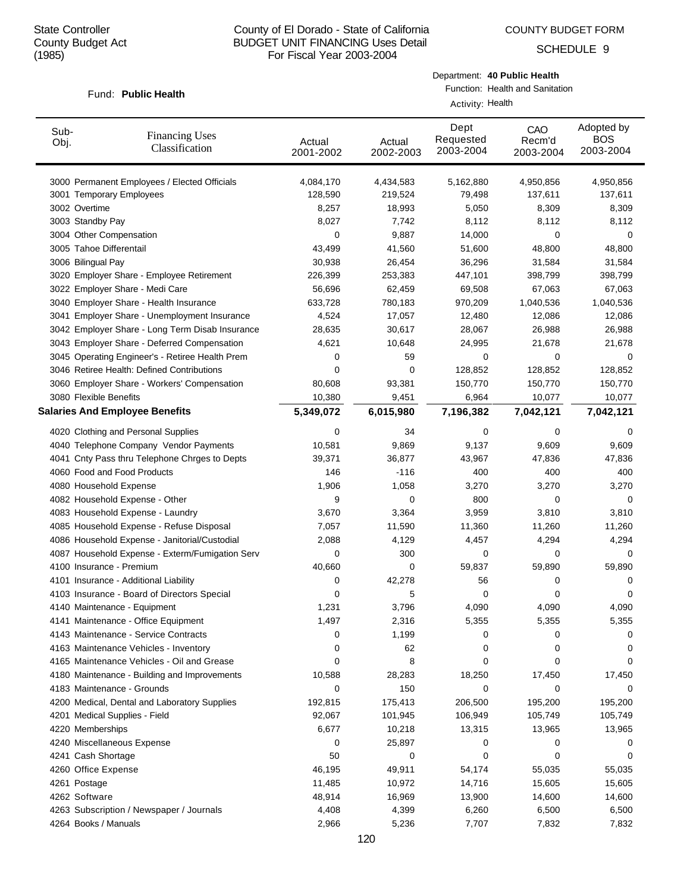COUNTY BUDGET FORM

SCHEDULE 9

#### Fund: Public Health

|                  | Department: 40 Public Health    |
|------------------|---------------------------------|
|                  | Function: Health and Sanitation |
| Activity: Health |                                 |

| Sub-<br>Obj. | <b>Financing Uses</b><br>Classification         | Actual<br>2001-2002 | Actual<br>2002-2003 | Dept<br>Requested<br>2003-2004 | CAO<br>Recm'd<br>2003-2004 | Adopted by<br><b>BOS</b><br>2003-2004 |
|--------------|-------------------------------------------------|---------------------|---------------------|--------------------------------|----------------------------|---------------------------------------|
|              | 3000 Permanent Employees / Elected Officials    | 4,084,170           | 4,434,583           | 5,162,880                      | 4,950,856                  | 4,950,856                             |
|              | 3001 Temporary Employees                        | 128,590             | 219,524             | 79,498                         | 137,611                    | 137,611                               |
|              | 3002 Overtime                                   | 8,257               | 18,993              | 5,050                          | 8,309                      | 8,309                                 |
|              | 3003 Standby Pay                                | 8,027               | 7,742               | 8,112                          | 8,112                      | 8,112                                 |
|              | 3004 Other Compensation                         | 0                   | 9,887               | 14,000                         | 0                          | 0                                     |
|              | 3005 Tahoe Differentail                         | 43,499              | 41,560              | 51,600                         | 48,800                     | 48,800                                |
|              | 3006 Bilingual Pay                              | 30,938              | 26,454              | 36,296                         | 31,584                     | 31,584                                |
|              | 3020 Employer Share - Employee Retirement       | 226,399             | 253,383             | 447,101                        | 398,799                    | 398,799                               |
|              | 3022 Employer Share - Medi Care                 | 56,696              | 62,459              | 69,508                         | 67,063                     | 67,063                                |
|              | 3040 Employer Share - Health Insurance          | 633,728             | 780,183             | 970,209                        | 1,040,536                  | 1,040,536                             |
|              | 3041 Employer Share - Unemployment Insurance    | 4,524               | 17,057              | 12,480                         | 12,086                     | 12,086                                |
|              | 3042 Employer Share - Long Term Disab Insurance | 28,635              | 30,617              | 28,067                         | 26,988                     | 26,988                                |
|              | 3043 Employer Share - Deferred Compensation     | 4,621               | 10,648              | 24,995                         | 21,678                     | 21,678                                |
|              | 3045 Operating Engineer's - Retiree Health Prem | 0                   | 59                  | 0                              | 0                          | 0                                     |
|              | 3046 Retiree Health: Defined Contributions      | 0                   | 0                   | 128,852                        | 128,852                    | 128,852                               |
|              | 3060 Employer Share - Workers' Compensation     | 80,608              | 93,381              | 150,770                        | 150,770                    | 150,770                               |
|              | 3080 Flexible Benefits                          | 10,380              | 9,451               | 6,964                          | 10,077                     | 10,077                                |
|              | <b>Salaries And Employee Benefits</b>           | 5,349,072           | 6,015,980           | 7,196,382                      | 7,042,121                  | 7,042,121                             |
|              | 4020 Clothing and Personal Supplies             | 0                   | 34                  | 0                              | 0                          | 0                                     |
|              | 4040 Telephone Company Vendor Payments          | 10,581              | 9,869               | 9,137                          | 9,609                      | 9,609                                 |
|              | 4041 Cnty Pass thru Telephone Chrges to Depts   | 39,371              | 36,877              | 43,967                         | 47,836                     | 47,836                                |
|              | 4060 Food and Food Products                     | 146                 | $-116$              | 400                            | 400                        | 400                                   |
|              | 4080 Household Expense                          | 1,906               | 1,058               | 3,270                          | 3,270                      | 3,270                                 |
|              | 4082 Household Expense - Other                  | 9                   | 0                   | 800                            | 0                          | 0                                     |
|              | 4083 Household Expense - Laundry                | 3,670               | 3,364               | 3,959                          | 3,810                      | 3,810                                 |
|              | 4085 Household Expense - Refuse Disposal        | 7,057               | 11,590              | 11,360                         | 11,260                     | 11,260                                |
|              | 4086 Household Expense - Janitorial/Custodial   | 2,088               | 4,129               | 4,457                          | 4,294                      | 4,294                                 |
|              | 4087 Household Expense - Exterm/Fumigation Serv | 0                   | 300                 | 0                              | 0                          | $\Omega$                              |
|              | 4100 Insurance - Premium                        | 40,660              | 0                   | 59,837                         | 59,890                     | 59,890                                |
|              | 4101 Insurance - Additional Liability           | 0                   | 42,278              | 56                             | 0                          | 0                                     |
|              | 4103 Insurance - Board of Directors Special     | 0                   | 5                   | 0                              | 0                          | 0                                     |
|              | 4140 Maintenance - Equipment                    | 1,231               | 3,796               | 4,090                          | 4,090                      | 4,090                                 |
|              | 4141 Maintenance - Office Equipment             | 1,497               | 2,316               | 5,355                          | 5,355                      | 5,355                                 |
|              | 4143 Maintenance - Service Contracts            | 0                   | 1,199               | 0                              | 0                          | 0                                     |
|              | 4163 Maintenance Vehicles - Inventory           | 0                   | 62                  | 0                              | 0                          | 0                                     |
|              | 4165 Maintenance Vehicles - Oil and Grease      | 0                   | 8                   | 0                              | 0                          | 0                                     |
|              | 4180 Maintenance - Building and Improvements    | 10,588              | 28,283              | 18,250                         | 17,450                     | 17,450                                |
|              | 4183 Maintenance - Grounds                      | 0                   | 150                 | 0                              | 0                          | 0                                     |
|              | 4200 Medical, Dental and Laboratory Supplies    | 192,815             | 175,413             | 206,500                        | 195,200                    | 195,200                               |
|              | 4201 Medical Supplies - Field                   | 92,067              | 101,945             | 106,949                        | 105,749                    | 105,749                               |
|              | 4220 Memberships                                | 6,677               | 10,218              | 13,315                         | 13,965                     | 13,965                                |
|              | 4240 Miscellaneous Expense                      | 0                   | 25,897              | 0                              | 0                          | 0                                     |
|              | 4241 Cash Shortage                              | 50                  | 0                   | 0                              | 0                          | 0                                     |
|              | 4260 Office Expense                             | 46,195              | 49,911              | 54,174                         | 55,035                     | 55,035                                |
|              | 4261 Postage                                    | 11,485              | 10,972              | 14,716                         | 15,605                     | 15,605                                |
|              | 4262 Software                                   | 48,914              | 16,969              | 13,900                         | 14,600                     | 14,600                                |
|              | 4263 Subscription / Newspaper / Journals        | 4,408               | 4,399               | 6,260                          | 6,500                      | 6,500                                 |
|              | 4264 Books / Manuals                            | 2,966               | 5,236               | 7,707                          | 7,832                      | 7,832                                 |
|              |                                                 |                     |                     |                                |                            |                                       |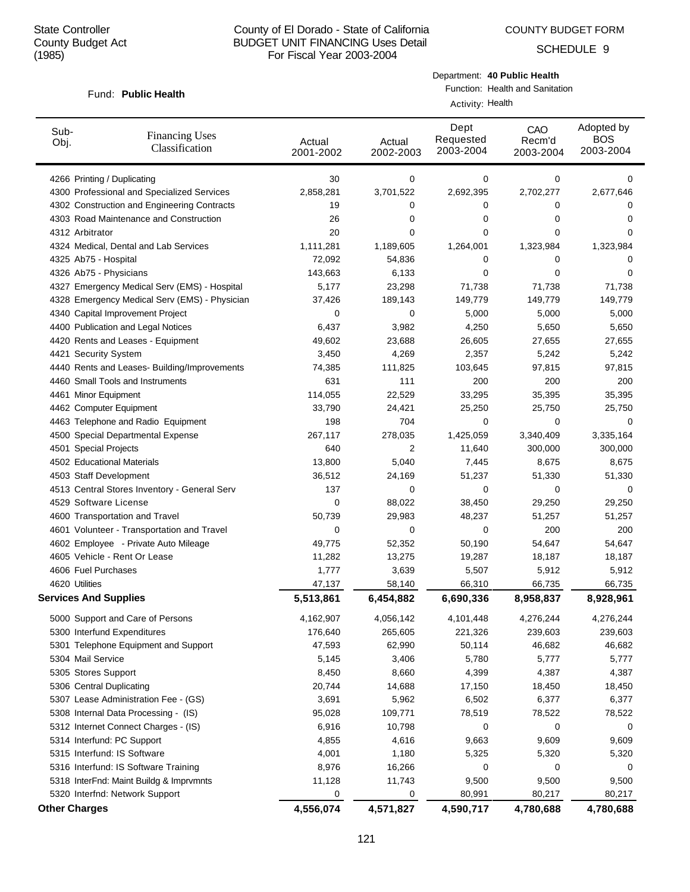SCHEDULE 9

#### Fund: Public Health

Department: **40 Public Health**

Function: Health and Sanitation

Activity: Health

| Sub-<br>Obj. | <b>Financing Uses</b><br>Classification       | Actual<br>2001-2002 | Actual<br>2002-2003 | Dept<br>Requested<br>2003-2004 | CAO<br>Recm'd<br>2003-2004 | Adopted by<br><b>BOS</b><br>2003-2004 |
|--------------|-----------------------------------------------|---------------------|---------------------|--------------------------------|----------------------------|---------------------------------------|
|              | 4266 Printing / Duplicating                   | 30                  | 0                   | 0                              | 0                          | 0                                     |
|              | 4300 Professional and Specialized Services    | 2,858,281           | 3,701,522           | 2,692,395                      | 2,702,277                  | 2,677,646                             |
|              | 4302 Construction and Engineering Contracts   | 19                  | 0                   | 0                              | 0                          | 0                                     |
|              | 4303 Road Maintenance and Construction        | 26                  | 0                   | 0                              | 0                          | 0                                     |
|              | 4312 Arbitrator                               | 20                  | 0                   | 0                              | 0                          | 0                                     |
|              | 4324 Medical, Dental and Lab Services         | 1,111,281           | 1,189,605           | 1,264,001                      | 1,323,984                  | 1,323,984                             |
|              | 4325 Ab75 - Hospital                          | 72,092              | 54,836              | 0                              | 0                          | 0                                     |
|              | 4326 Ab75 - Physicians                        | 143,663             | 6,133               | 0                              | 0                          | 0                                     |
|              | 4327 Emergency Medical Serv (EMS) - Hospital  | 5,177               | 23,298              | 71,738                         | 71,738                     | 71,738                                |
|              | 4328 Emergency Medical Serv (EMS) - Physician | 37,426              | 189,143             | 149,779                        | 149,779                    | 149,779                               |
|              | 4340 Capital Improvement Project              | 0                   | 0                   | 5,000                          | 5,000                      | 5,000                                 |
|              | 4400 Publication and Legal Notices            | 6,437               | 3,982               | 4,250                          | 5,650                      | 5,650                                 |
|              | 4420 Rents and Leases - Equipment             | 49,602              | 23,688              | 26,605                         | 27,655                     | 27,655                                |
|              | 4421 Security System                          | 3,450               | 4,269               | 2,357                          | 5,242                      | 5,242                                 |
|              | 4440 Rents and Leases- Building/Improvements  | 74,385              | 111,825             | 103,645                        | 97,815                     | 97,815                                |
|              | 4460 Small Tools and Instruments              | 631                 | 111                 | 200                            | 200                        | 200                                   |
|              | 4461 Minor Equipment                          | 114,055             | 22,529              | 33,295                         | 35,395                     | 35,395                                |
|              | 4462 Computer Equipment                       | 33,790              | 24,421              | 25,250                         | 25,750                     | 25,750                                |
|              | 4463 Telephone and Radio Equipment            | 198                 | 704                 | 0                              | 0                          | 0                                     |
|              | 4500 Special Departmental Expense             | 267,117             | 278,035             | 1,425,059                      | 3,340,409                  | 3,335,164                             |
|              | 4501 Special Projects                         | 640                 | 2                   | 11,640                         | 300,000                    | 300,000                               |
|              | 4502 Educational Materials                    | 13,800              | 5,040               | 7,445                          | 8,675                      | 8,675                                 |
|              | 4503 Staff Development                        | 36,512              | 24,169              | 51,237                         | 51,330                     | 51,330                                |
|              | 4513 Central Stores Inventory - General Serv  | 137                 | 0                   | 0                              | 0                          | 0                                     |
|              | 4529 Software License                         | 0                   | 88,022              | 38,450                         | 29,250                     | 29,250                                |
|              | 4600 Transportation and Travel                | 50,739              | 29,983              | 48,237                         | 51,257                     | 51,257                                |
|              | 4601 Volunteer - Transportation and Travel    | 0                   | 0                   | 0                              | 200                        | 200                                   |
|              | 4602 Employee - Private Auto Mileage          | 49,775              | 52,352              | 50,190                         | 54,647                     | 54,647                                |
|              | 4605 Vehicle - Rent Or Lease                  | 11,282              | 13,275              | 19,287                         | 18,187                     | 18,187                                |
|              | 4606 Fuel Purchases                           | 1,777               | 3,639               | 5,507                          | 5,912                      | 5,912                                 |
|              | 4620 Utilities                                | 47,137              | 58,140              | 66,310                         | 66,735                     | 66,735                                |
|              | <b>Services And Supplies</b>                  | 5,513,861           | 6,454,882           | 6,690,336                      | 8,958,837                  | 8,928,961                             |
|              | 5000 Support and Care of Persons              | 4,162,907           | 4,056,142           | 4,101,448                      | 4,276,244                  | 4,276,244                             |
|              | 5300 Interfund Expenditures                   | 176,640             | 265,605             | 221,326                        | 239,603                    | 239,603                               |
|              | 5301 Telephone Equipment and Support          | 47,593              | 62,990              | 50,114                         | 46,682                     | 46,682                                |
|              | 5304 Mail Service                             | 5,145               | 3,406               | 5,780                          | 5,777                      | 5,777                                 |
|              | 5305 Stores Support                           | 8,450               | 8,660               | 4,399                          | 4,387                      | 4,387                                 |
|              | 5306 Central Duplicating                      | 20,744              | 14,688              | 17,150                         | 18,450                     | 18,450                                |
|              | 5307 Lease Administration Fee - (GS)          | 3,691               | 5,962               | 6,502                          | 6,377                      | 6,377                                 |
|              | 5308 Internal Data Processing - (IS)          | 95,028              | 109,771             | 78,519                         | 78,522                     | 78,522                                |
|              | 5312 Internet Connect Charges - (IS)          | 6,916               | 10,798              | 0                              | 0                          | 0                                     |
|              | 5314 Interfund: PC Support                    | 4,855               | 4,616               | 9,663                          | 9,609                      | 9,609                                 |
|              | 5315 Interfund: IS Software                   | 4,001               | 1,180               | 5,325                          | 5,320                      | 5,320                                 |
|              | 5316 Interfund: IS Software Training          | 8,976               | 16,266              | 0                              | 0                          | 0                                     |
|              | 5318 InterFnd: Maint Buildg & Imprvmnts       | 11,128              | 11,743              | 9,500                          | 9,500                      | 9,500                                 |
|              | 5320 Interfnd: Network Support                | 0                   | 0                   | 80,991                         | 80,217                     | 80,217                                |
|              | <b>Other Charges</b>                          | 4,556,074           | 4,571,827           | 4,590,717                      | 4,780,688                  | 4,780,688                             |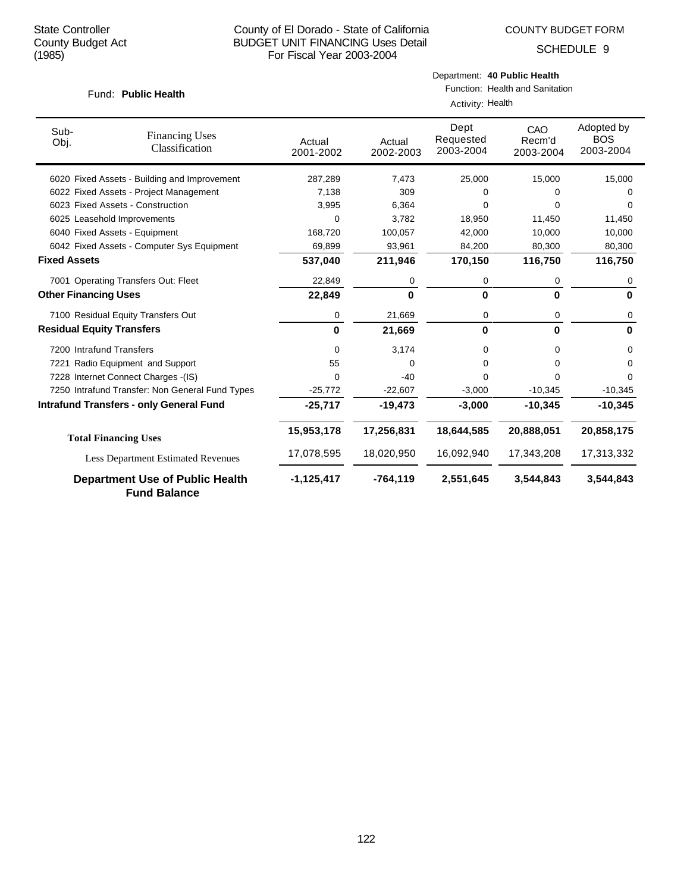COUNTY BUDGET FORM

Department: **40 Public Health**

SCHEDULE 9

| Fund: Public Health         |                                                               | Function: Health and Sanitation |                     |                                |                            |                                       |  |  |  |
|-----------------------------|---------------------------------------------------------------|---------------------------------|---------------------|--------------------------------|----------------------------|---------------------------------------|--|--|--|
|                             |                                                               |                                 | Activity: Health    |                                |                            |                                       |  |  |  |
| Sub-<br>Obj.                | <b>Financing Uses</b><br>Classification                       | Actual<br>2001-2002             | Actual<br>2002-2003 | Dept<br>Requested<br>2003-2004 | CAO<br>Recm'd<br>2003-2004 | Adopted by<br><b>BOS</b><br>2003-2004 |  |  |  |
|                             | 6020 Fixed Assets - Building and Improvement                  | 287,289                         | 7,473               | 25,000                         | 15,000                     | 15,000                                |  |  |  |
|                             | 6022 Fixed Assets - Project Management                        | 7.138                           | 309                 | 0                              | 0                          | 0                                     |  |  |  |
|                             | 6023 Fixed Assets - Construction                              | 3,995                           | 6,364               | 0                              | 0                          | 0                                     |  |  |  |
|                             | 6025 Leasehold Improvements                                   | 0                               | 3,782               | 18,950                         | 11,450                     | 11,450                                |  |  |  |
|                             | 6040 Fixed Assets - Equipment                                 | 168,720                         | 100,057             | 42,000                         | 10,000                     | 10,000                                |  |  |  |
|                             | 6042 Fixed Assets - Computer Sys Equipment                    | 69,899                          | 93,961              | 84,200                         | 80,300                     | 80,300                                |  |  |  |
| <b>Fixed Assets</b>         |                                                               | 537,040                         | 211,946             | 170,150                        | 116,750                    | 116,750                               |  |  |  |
|                             | 7001 Operating Transfers Out: Fleet                           | 22,849                          | 0                   | 0                              | 0                          | 0                                     |  |  |  |
| <b>Other Financing Uses</b> |                                                               | 22,849                          | $\bf{0}$            | $\bf{0}$                       | 0                          | $\bf{0}$                              |  |  |  |
|                             | 7100 Residual Equity Transfers Out                            | 0                               | 21,669              | 0                              | 0                          | 0                                     |  |  |  |
|                             | <b>Residual Equity Transfers</b>                              | $\bf{0}$                        | 21,669              | 0                              | 0                          | 0                                     |  |  |  |
|                             | 7200 Intrafund Transfers                                      | 0                               | 3,174               | 0                              | 0                          | 0                                     |  |  |  |
|                             | 7221 Radio Equipment and Support                              | 55                              | $\Omega$            | 0                              | 0                          | 0                                     |  |  |  |
|                             | 7228 Internet Connect Charges -(IS)                           | 0                               | $-40$               | $\Omega$                       | $\Omega$                   | 0                                     |  |  |  |
|                             | 7250 Intrafund Transfer: Non General Fund Types               | $-25,772$                       | $-22,607$           | $-3,000$                       | $-10,345$                  | $-10,345$                             |  |  |  |
|                             | <b>Intrafund Transfers - only General Fund</b>                | $-25,717$                       | $-19,473$           | $-3,000$                       | $-10,345$                  | $-10,345$                             |  |  |  |
|                             | <b>Total Financing Uses</b>                                   | 15,953,178                      | 17,256,831          | 18,644,585                     | 20,888,051                 | 20,858,175                            |  |  |  |
|                             | <b>Less Department Estimated Revenues</b>                     | 17,078,595                      | 18,020,950          | 16,092,940                     | 17,343,208                 | 17,313,332                            |  |  |  |
|                             | <b>Department Use of Public Health</b><br><b>Fund Balance</b> | $-1,125,417$                    | $-764, 119$         | 2,551,645                      | 3,544,843                  | 3,544,843                             |  |  |  |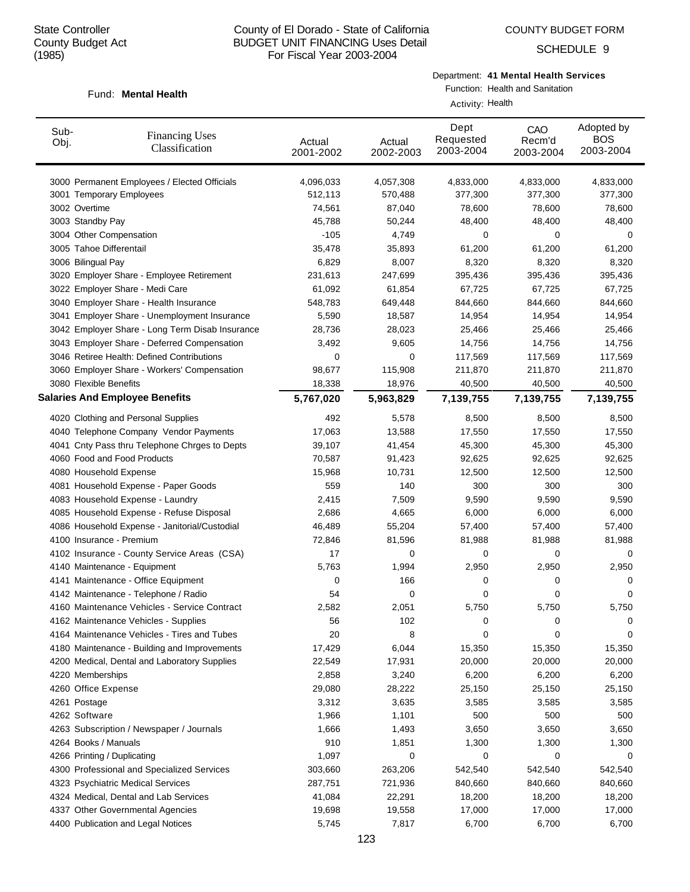Fund: Mental Health

#### County of El Dorado - State of California BUDGET UNIT FINANCING Uses Detail For Fiscal Year 2003-2004

SCHEDULE 9

## Department: **41 Mental Health Services**

Function: Health and Sanitation

|              |                                                 |                     |                     | Activity: Health               |                            |                                       |
|--------------|-------------------------------------------------|---------------------|---------------------|--------------------------------|----------------------------|---------------------------------------|
| Sub-<br>Obj. | <b>Financing Uses</b><br>Classification         | Actual<br>2001-2002 | Actual<br>2002-2003 | Dept<br>Requested<br>2003-2004 | CAO<br>Recm'd<br>2003-2004 | Adopted by<br><b>BOS</b><br>2003-2004 |
|              | 3000 Permanent Employees / Elected Officials    | 4,096,033           | 4,057,308           | 4,833,000                      | 4,833,000                  | 4,833,000                             |
|              | 3001 Temporary Employees                        | 512,113             | 570,488             | 377,300                        | 377,300                    | 377,300                               |
|              | 3002 Overtime                                   | 74,561              | 87,040              | 78,600                         | 78,600                     | 78,600                                |
|              | 3003 Standby Pay                                | 45,788              | 50,244              | 48,400                         | 48,400                     | 48,400                                |
|              | 3004 Other Compensation                         | $-105$              | 4,749               | 0                              | 0                          | 0                                     |
|              | 3005 Tahoe Differentail                         | 35,478              | 35,893              | 61,200                         | 61,200                     | 61,200                                |
|              | 3006 Bilingual Pay                              | 6,829               | 8,007               | 8,320                          | 8,320                      | 8,320                                 |
|              | 3020 Employer Share - Employee Retirement       | 231,613             | 247,699             | 395,436                        | 395,436                    | 395,436                               |
|              | 3022 Employer Share - Medi Care                 | 61,092              | 61,854              | 67,725                         | 67,725                     | 67,725                                |
|              | 3040 Employer Share - Health Insurance          | 548,783             | 649,448             | 844,660                        | 844,660                    | 844,660                               |
|              | 3041 Employer Share - Unemployment Insurance    | 5,590               | 18,587              | 14,954                         | 14,954                     | 14,954                                |
|              | 3042 Employer Share - Long Term Disab Insurance | 28,736              | 28,023              | 25,466                         | 25,466                     | 25,466                                |
|              | 3043 Employer Share - Deferred Compensation     | 3,492               | 9,605               | 14,756                         | 14,756                     | 14,756                                |
|              | 3046 Retiree Health: Defined Contributions      | 0                   | 0                   | 117,569                        | 117,569                    | 117,569                               |
|              | 3060 Employer Share - Workers' Compensation     | 98,677              | 115,908             | 211,870                        | 211,870                    | 211,870                               |
|              | 3080 Flexible Benefits                          | 18,338              | 18,976              | 40,500                         | 40,500                     | 40,500                                |
|              | <b>Salaries And Employee Benefits</b>           | 5,767,020           | 5,963,829           | 7,139,755                      | 7,139,755                  | 7,139,755                             |
|              | 4020 Clothing and Personal Supplies             | 492                 | 5,578               | 8,500                          | 8,500                      | 8,500                                 |
|              | 4040 Telephone Company Vendor Payments          | 17,063              | 13,588              | 17,550                         | 17,550                     | 17,550                                |
|              | 4041 Cnty Pass thru Telephone Chrges to Depts   | 39,107              | 41,454              | 45,300                         | 45,300                     | 45,300                                |
|              | 4060 Food and Food Products                     | 70,587              | 91,423              | 92,625                         | 92,625                     | 92,625                                |
|              | 4080 Household Expense                          | 15,968              | 10,731              | 12,500                         | 12,500                     | 12,500                                |
|              | 4081 Household Expense - Paper Goods            | 559                 | 140                 | 300                            | 300                        | 300                                   |
|              | 4083 Household Expense - Laundry                | 2,415               | 7,509               | 9,590                          | 9,590                      | 9,590                                 |
|              | 4085 Household Expense - Refuse Disposal        | 2,686               | 4,665               | 6,000                          | 6,000                      | 6,000                                 |
|              | 4086 Household Expense - Janitorial/Custodial   | 46,489              | 55,204              | 57,400                         | 57,400                     | 57,400                                |
|              | 4100 Insurance - Premium                        | 72,846              | 81,596              | 81,988                         | 81,988                     | 81,988                                |
|              | 4102 Insurance - County Service Areas (CSA)     | 17                  | 0                   | 0                              | 0                          | 0                                     |
|              | 4140 Maintenance - Equipment                    | 5,763               | 1,994               | 2,950                          | 2,950                      | 2,950                                 |
|              | 4141 Maintenance - Office Equipment             | 0                   | 166                 | 0                              | 0                          | 0                                     |
|              | 4142 Maintenance - Telephone / Radio            | 54                  | 0                   | 0                              | 0                          | 0                                     |
|              | 4160 Maintenance Vehicles - Service Contract    | 2,582               | 2,051               | 5,750                          | 5,750                      | 5,750                                 |
|              | 4162 Maintenance Vehicles - Supplies            | 56                  | 102                 | 0                              | 0                          | 0                                     |
|              | 4164 Maintenance Vehicles - Tires and Tubes     | 20                  | 8                   | 0                              | 0                          | 0                                     |
|              | 4180 Maintenance - Building and Improvements    | 17,429              | 6,044               | 15,350                         | 15,350                     | 15,350                                |
|              | 4200 Medical, Dental and Laboratory Supplies    | 22,549              | 17,931              | 20,000                         | 20,000                     | 20,000                                |
|              | 4220 Memberships                                | 2,858               | 3,240               | 6,200                          | 6,200                      | 6,200                                 |
|              | 4260 Office Expense                             | 29,080              | 28,222              | 25,150                         | 25,150                     | 25,150                                |
|              | 4261 Postage                                    | 3,312               | 3,635               | 3,585                          | 3,585                      | 3,585                                 |
|              | 4262 Software                                   | 1,966               | 1,101               | 500                            | 500                        | 500                                   |
|              | 4263 Subscription / Newspaper / Journals        | 1,666               | 1,493               | 3,650                          | 3,650                      | 3,650                                 |
|              | 4264 Books / Manuals                            | 910                 | 1,851               | 1,300                          | 1,300                      | 1,300                                 |
|              | 4266 Printing / Duplicating                     | 1,097               | 0                   | 0                              | 0                          | 0                                     |
|              | 4300 Professional and Specialized Services      | 303,660             | 263,206             | 542,540                        | 542,540                    | 542,540                               |
|              | 4323 Psychiatric Medical Services               | 287,751             | 721,936             | 840,660                        | 840,660                    | 840,660                               |
|              | 4324 Medical, Dental and Lab Services           | 41,084              | 22,291              | 18,200                         | 18,200                     | 18,200                                |
|              | 4337 Other Governmental Agencies                | 19,698              | 19,558              | 17,000                         | 17,000                     | 17,000                                |
|              | 4400 Publication and Legal Notices              | 5,745               | 7,817               | 6,700                          | 6,700                      | 6,700                                 |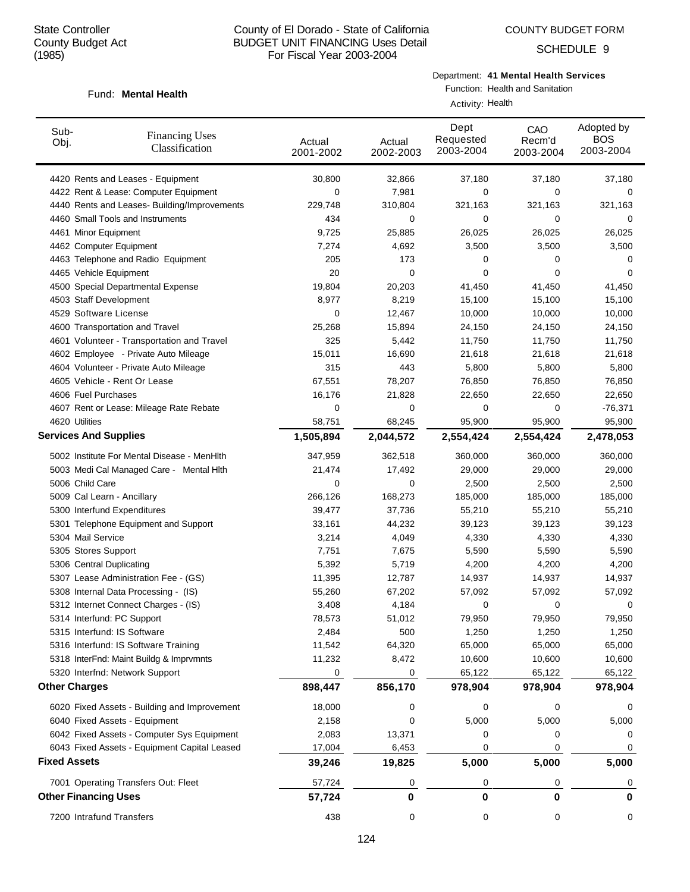Fund: Mental Health

## County of El Dorado - State of California BUDGET UNIT FINANCING Uses Detail For Fiscal Year 2003-2004

SCHEDULE 9

## Department: **41 Mental Health Services**

Function: Health and Sanitation

|                      |                                              | Activity: Health    |                     |                                |                            |                                       |  |  |
|----------------------|----------------------------------------------|---------------------|---------------------|--------------------------------|----------------------------|---------------------------------------|--|--|
| Sub-<br>Obj.         | <b>Financing Uses</b><br>Classification      | Actual<br>2001-2002 | Actual<br>2002-2003 | Dept<br>Requested<br>2003-2004 | CAO<br>Recm'd<br>2003-2004 | Adopted by<br><b>BOS</b><br>2003-2004 |  |  |
|                      | 4420 Rents and Leases - Equipment            | 30,800              | 32,866              | 37,180                         | 37,180                     | 37,180                                |  |  |
|                      | 4422 Rent & Lease: Computer Equipment        | 0                   | 7,981               | 0                              | 0                          | 0                                     |  |  |
|                      | 4440 Rents and Leases- Building/Improvements | 229,748             | 310,804             | 321,163                        | 321,163                    | 321,163                               |  |  |
|                      | 4460 Small Tools and Instruments             | 434                 | 0                   | 0                              | 0                          | 0                                     |  |  |
|                      | 4461 Minor Equipment                         | 9,725               | 25,885              | 26,025                         | 26,025                     | 26,025                                |  |  |
|                      | 4462 Computer Equipment                      | 7,274               | 4,692               | 3,500                          | 3,500                      | 3,500                                 |  |  |
|                      | 4463 Telephone and Radio Equipment           | 205                 | 173                 | 0                              | 0                          | 0                                     |  |  |
|                      | 4465 Vehicle Equipment                       | 20                  | 0                   | 0                              | 0                          | 0                                     |  |  |
|                      | 4500 Special Departmental Expense            | 19,804              | 20,203              | 41,450                         | 41,450                     | 41,450                                |  |  |
|                      | 4503 Staff Development                       | 8,977               | 8,219               | 15,100                         | 15,100                     | 15,100                                |  |  |
|                      | 4529 Software License                        | 0                   | 12,467              | 10,000                         | 10,000                     | 10,000                                |  |  |
|                      | 4600 Transportation and Travel               | 25,268              | 15,894              | 24,150                         | 24,150                     | 24,150                                |  |  |
|                      | 4601 Volunteer - Transportation and Travel   | 325                 | 5,442               | 11,750                         | 11,750                     | 11,750                                |  |  |
|                      | 4602 Employee - Private Auto Mileage         | 15,011              | 16,690              | 21,618                         | 21,618                     | 21,618                                |  |  |
|                      | 4604 Volunteer - Private Auto Mileage        | 315                 | 443                 | 5,800                          | 5,800                      | 5,800                                 |  |  |
|                      | 4605 Vehicle - Rent Or Lease                 | 67,551              | 78,207              | 76,850                         | 76,850                     | 76,850                                |  |  |
|                      | 4606 Fuel Purchases                          | 16,176              | 21,828              | 22,650                         | 22,650                     | 22,650                                |  |  |
|                      | 4607 Rent or Lease: Mileage Rate Rebate      | 0                   | 0                   | 0                              | 0                          | $-76,371$                             |  |  |
|                      | 4620 Utilities                               | 58,751              | 68,245              | 95,900                         | 95,900                     | 95,900                                |  |  |
|                      | <b>Services And Supplies</b>                 | 1,505,894           | 2,044,572           | 2,554,424                      | 2,554,424                  | 2,478,053                             |  |  |
|                      | 5002 Institute For Mental Disease - MenHlth  | 347,959             | 362,518             | 360,000                        | 360,000                    | 360,000                               |  |  |
|                      | 5003 Medi Cal Managed Care - Mental Hith     | 21,474              | 17,492              | 29,000                         | 29,000                     | 29,000                                |  |  |
|                      | 5006 Child Care                              | 0                   | 0                   | 2,500                          | 2,500                      | 2,500                                 |  |  |
|                      | 5009 Cal Learn - Ancillary                   | 266,126             | 168,273             | 185,000                        | 185,000                    | 185,000                               |  |  |
|                      | 5300 Interfund Expenditures                  | 39,477              | 37,736              | 55,210                         | 55,210                     | 55,210                                |  |  |
|                      | 5301 Telephone Equipment and Support         | 33,161              | 44,232              | 39,123                         | 39,123                     | 39,123                                |  |  |
|                      | 5304 Mail Service                            | 3,214               | 4,049               | 4,330                          | 4,330                      | 4,330                                 |  |  |
|                      | 5305 Stores Support                          | 7,751               | 7,675               | 5,590                          | 5,590                      | 5,590                                 |  |  |
|                      | 5306 Central Duplicating                     | 5,392               | 5,719               | 4,200                          | 4,200                      | 4,200                                 |  |  |
|                      | 5307 Lease Administration Fee - (GS)         | 11,395              | 12,787              | 14,937                         | 14,937                     | 14,937                                |  |  |
|                      | 5308 Internal Data Processing - (IS)         | 55,260              | 67,202              | 57,092                         | 57,092                     | 57,092                                |  |  |
|                      | 5312 Internet Connect Charges - (IS)         | 3,408               | 4,184               | 0                              | 0                          | 0                                     |  |  |
|                      | 5314 Interfund: PC Support                   | 78,573              | 51,012              | 79,950                         | 79,950                     | 79,950                                |  |  |
|                      | 5315 Interfund: IS Software                  | 2,484               | 500                 | 1,250                          | 1,250                      | 1,250                                 |  |  |
|                      | 5316 Interfund: IS Software Training         | 11,542              | 64,320              | 65,000                         | 65,000                     | 65,000                                |  |  |
|                      | 5318 InterFnd: Maint Buildg & Imprvmnts      | 11,232              | 8,472               | 10,600                         | 10,600                     | 10,600                                |  |  |
|                      | 5320 Interfnd: Network Support               | 0                   | 0                   | 65,122                         | 65,122                     | 65,122                                |  |  |
| <b>Other Charges</b> |                                              | 898,447             | 856,170             | 978,904                        | 978,904                    | 978,904                               |  |  |
|                      |                                              |                     |                     |                                |                            |                                       |  |  |
|                      | 6020 Fixed Assets - Building and Improvement | 18,000              | 0                   | 0                              | 0                          | 0                                     |  |  |
|                      | 6040 Fixed Assets - Equipment                | 2,158               | 0                   | 5,000                          | 5,000                      | 5,000                                 |  |  |
|                      | 6042 Fixed Assets - Computer Sys Equipment   | 2,083               | 13,371              | 0                              | 0                          |                                       |  |  |
| <b>Fixed Assets</b>  | 6043 Fixed Assets - Equipment Capital Leased | 17,004              | 6,453               | 0                              | 0                          | 0                                     |  |  |
|                      |                                              | 39,246              | 19,825              | 5,000                          | 5,000                      | 5,000                                 |  |  |
|                      | 7001 Operating Transfers Out: Fleet          | 57,724              | 0                   | 0                              | 0                          | 0                                     |  |  |
|                      | <b>Other Financing Uses</b>                  | 57,724              | 0                   | 0                              | 0                          | 0                                     |  |  |
|                      | 7200 Intrafund Transfers                     | 438                 | 0                   | 0                              | 0                          | 0                                     |  |  |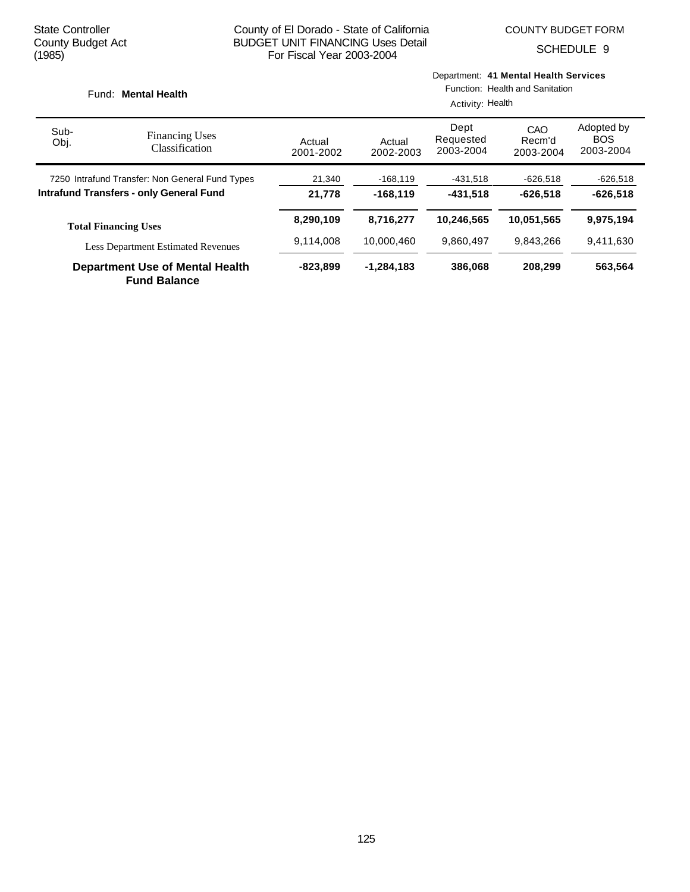SCHEDULE 9

| Department: 41 Mental Health Services<br>Function: Health and Sanitation<br>Fund: Mental Health<br>Activity: Health |                                                               |                     |                     |                                |                            |                                       |
|---------------------------------------------------------------------------------------------------------------------|---------------------------------------------------------------|---------------------|---------------------|--------------------------------|----------------------------|---------------------------------------|
| Sub-<br>Obj.                                                                                                        | <b>Financing Uses</b><br>Classification                       | Actual<br>2001-2002 | Actual<br>2002-2003 | Dept<br>Requested<br>2003-2004 | CAO<br>Recm'd<br>2003-2004 | Adopted by<br><b>BOS</b><br>2003-2004 |
|                                                                                                                     | 7250 Intrafund Transfer: Non General Fund Types               | 21,340              | $-168, 119$         | -431,518                       | -626,518                   | $-626,518$                            |
|                                                                                                                     | <b>Intrafund Transfers - only General Fund</b>                | 21,778              | $-168.119$          | $-431.518$                     | $-626.518$                 | $-626.518$                            |
|                                                                                                                     | <b>Total Financing Uses</b>                                   | 8,290,109           | 8,716,277           | 10,246,565                     | 10,051,565                 | 9,975,194                             |
|                                                                                                                     | <b>Less Department Estimated Revenues</b>                     | 9,114,008           | 10.000.460          | 9,860,497                      | 9,843,266                  | 9,411,630                             |
|                                                                                                                     | <b>Department Use of Mental Health</b><br><b>Fund Balance</b> | -823,899            | $-1,284,183$        | 386,068                        | 208,299                    | 563,564                               |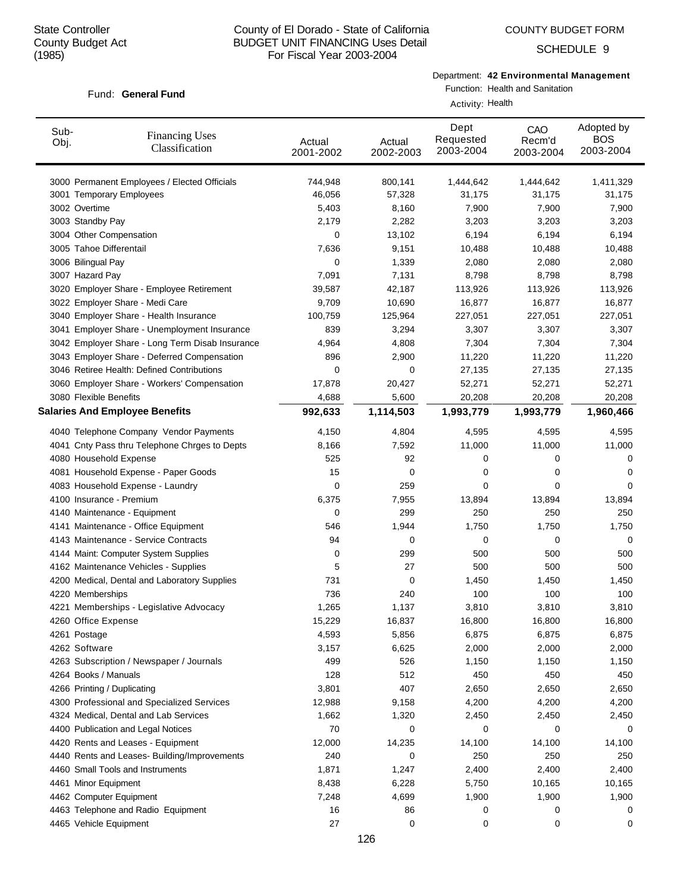Fund: General Fund

## County of El Dorado - State of California BUDGET UNIT FINANCING Uses Detail For Fiscal Year 2003-2004

SCHEDULE 9

# Department: **42 Environmental Management**

Function: Health and Sanitation

|              |                                                 |                     |                     | Activity: Health               |                            |                                       |
|--------------|-------------------------------------------------|---------------------|---------------------|--------------------------------|----------------------------|---------------------------------------|
| Sub-<br>Obj. | <b>Financing Uses</b><br>Classification         | Actual<br>2001-2002 | Actual<br>2002-2003 | Dept<br>Requested<br>2003-2004 | CAO<br>Recm'd<br>2003-2004 | Adopted by<br><b>BOS</b><br>2003-2004 |
|              | 3000 Permanent Employees / Elected Officials    | 744,948             | 800,141             | 1,444,642                      | 1,444,642                  | 1,411,329                             |
|              | 3001 Temporary Employees                        | 46,056              | 57,328              | 31,175                         | 31,175                     | 31,175                                |
|              | 3002 Overtime                                   | 5,403               | 8,160               | 7,900                          | 7,900                      | 7,900                                 |
|              | 3003 Standby Pay                                | 2,179               | 2,282               | 3,203                          | 3,203                      | 3,203                                 |
|              | 3004 Other Compensation                         | 0                   | 13,102              | 6,194                          | 6,194                      | 6,194                                 |
|              | 3005 Tahoe Differentail                         | 7,636               | 9,151               | 10,488                         | 10,488                     | 10,488                                |
|              | 3006 Bilingual Pay                              | 0                   | 1,339               | 2,080                          | 2,080                      | 2,080                                 |
|              | 3007 Hazard Pay                                 | 7,091               | 7,131               | 8,798                          | 8,798                      | 8,798                                 |
|              | 3020 Employer Share - Employee Retirement       | 39,587              | 42,187              | 113,926                        | 113,926                    | 113,926                               |
|              | 3022 Employer Share - Medi Care                 | 9,709               | 10,690              | 16,877                         | 16,877                     | 16,877                                |
|              | 3040 Employer Share - Health Insurance          | 100,759             | 125,964             | 227,051                        | 227,051                    | 227,051                               |
|              | 3041 Employer Share - Unemployment Insurance    | 839                 | 3,294               | 3,307                          | 3,307                      | 3,307                                 |
|              | 3042 Employer Share - Long Term Disab Insurance | 4,964               | 4,808               | 7,304                          | 7,304                      | 7,304                                 |
|              | 3043 Employer Share - Deferred Compensation     | 896                 | 2,900               | 11,220                         | 11,220                     | 11,220                                |
|              | 3046 Retiree Health: Defined Contributions      | 0                   | 0                   | 27,135                         | 27,135                     | 27,135                                |
|              | 3060 Employer Share - Workers' Compensation     | 17,878              | 20,427              | 52,271                         | 52,271                     | 52,271                                |
|              | 3080 Flexible Benefits                          | 4,688               | 5,600               | 20,208                         | 20,208                     | 20,208                                |
|              | <b>Salaries And Employee Benefits</b>           | 992,633             | 1,114,503           | 1,993,779                      | 1,993,779                  | 1,960,466                             |
|              | 4040 Telephone Company Vendor Payments          | 4,150               | 4,804               | 4,595                          | 4,595                      | 4,595                                 |
|              | 4041 Cnty Pass thru Telephone Chrges to Depts   | 8,166               | 7,592               | 11,000                         | 11,000                     | 11,000                                |
|              | 4080 Household Expense                          | 525                 | 92                  | 0                              | 0                          | 0                                     |
|              | 4081 Household Expense - Paper Goods            | 15                  | 0                   | 0                              | 0                          | 0                                     |
|              | 4083 Household Expense - Laundry                | 0                   | 259                 | 0                              | 0                          | 0                                     |
|              | 4100 Insurance - Premium                        | 6,375               | 7,955               | 13,894                         | 13,894                     | 13,894                                |
|              | 4140 Maintenance - Equipment                    | 0                   | 299                 | 250                            | 250                        | 250                                   |
|              | 4141 Maintenance - Office Equipment             | 546                 | 1,944               | 1,750                          | 1,750                      | 1,750                                 |
|              | 4143 Maintenance - Service Contracts            | 94                  | 0                   | 0                              | 0                          | 0                                     |
|              | 4144 Maint: Computer System Supplies            | 0                   | 299                 | 500                            | 500                        | 500                                   |
|              | 4162 Maintenance Vehicles - Supplies            | 5                   | 27                  | 500                            | 500                        | 500                                   |
|              | 4200 Medical, Dental and Laboratory Supplies    | 731                 | 0                   | 1,450                          | 1,450                      | 1,450                                 |
|              | 4220 Memberships                                | 736                 | 240                 | 100                            | 100                        | 100                                   |
|              | 4221 Memberships - Legislative Advocacy         | 1,265               | 1,137               | 3,810                          | 3,810                      | 3,810                                 |
|              | 4260 Office Expense                             | 15,229              | 16,837              | 16,800                         | 16,800                     | 16,800                                |
|              | 4261 Postage                                    | 4,593               | 5,856               | 6,875                          | 6,875                      | 6,875                                 |
|              | 4262 Software                                   | 3,157               | 6,625               | 2,000                          | 2,000                      | 2,000                                 |
|              | 4263 Subscription / Newspaper / Journals        | 499                 | 526                 | 1,150                          | 1,150                      | 1,150                                 |
|              | 4264 Books / Manuals                            | 128                 | 512                 | 450                            | 450                        | 450                                   |
|              | 4266 Printing / Duplicating                     | 3,801               | 407                 | 2,650                          | 2,650                      | 2,650                                 |
|              | 4300 Professional and Specialized Services      | 12,988              | 9,158               | 4,200                          | 4,200                      | 4,200                                 |
|              | 4324 Medical, Dental and Lab Services           | 1,662               | 1,320               | 2,450                          | 2,450                      | 2,450                                 |
|              | 4400 Publication and Legal Notices              | 70                  | 0                   | 0                              | 0                          | 0                                     |
|              | 4420 Rents and Leases - Equipment               | 12,000              | 14,235              | 14,100                         | 14,100                     | 14,100                                |
|              | 4440 Rents and Leases- Building/Improvements    | 240                 | 0                   | 250                            | 250                        | 250                                   |
|              | 4460 Small Tools and Instruments                | 1,871               | 1,247               | 2,400                          | 2,400                      | 2,400                                 |
|              | 4461 Minor Equipment                            | 8,438               | 6,228               | 5,750                          | 10,165                     | 10,165                                |
|              | 4462 Computer Equipment                         | 7,248               | 4,699               | 1,900                          | 1,900                      | 1,900                                 |
|              | 4463 Telephone and Radio Equipment              | 16                  | 86                  | 0                              | 0                          | 0                                     |
|              | 4465 Vehicle Equipment                          | 27                  | 0                   | 0                              | 0                          | 0                                     |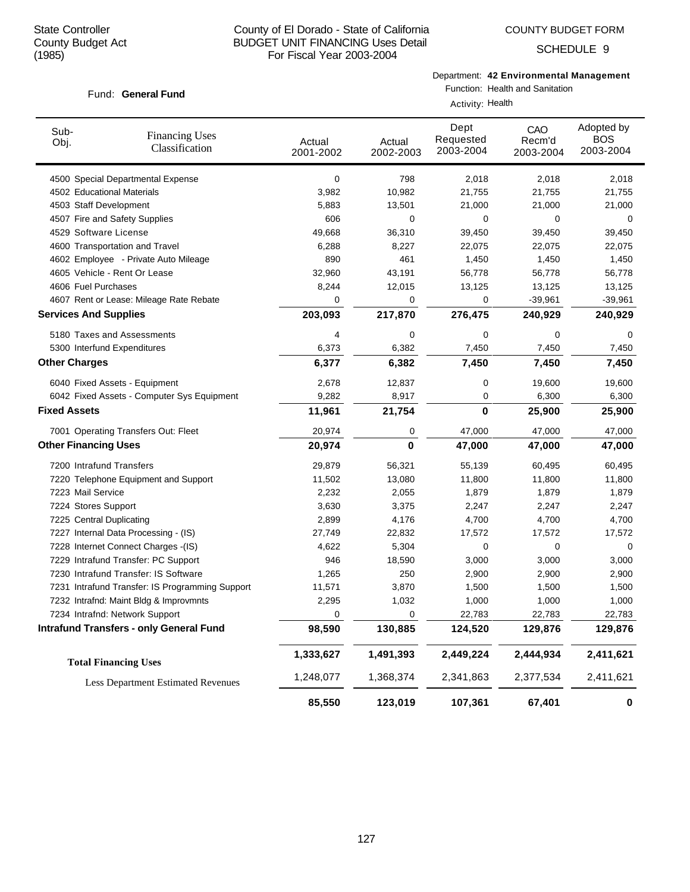Fund: General Fund

## County of El Dorado - State of California BUDGET UNIT FINANCING Uses Detail For Fiscal Year 2003-2004

SCHEDULE 9

#### Department: **42 Environmental Management** Function: Health and Sanitation

Activity: Health

| Sub-<br>Obj.                 | <b>Financing Uses</b><br>Classification         | Actual<br>2001-2002 | Actual<br>2002-2003 | Dept<br>Requested<br>2003-2004 | CAO<br>Recm'd<br>2003-2004 | Adopted by<br><b>BOS</b><br>2003-2004 |  |  |
|------------------------------|-------------------------------------------------|---------------------|---------------------|--------------------------------|----------------------------|---------------------------------------|--|--|
|                              | 4500 Special Departmental Expense               | 0                   | 798                 | 2,018                          | 2,018                      | 2,018                                 |  |  |
| 4502 Educational Materials   |                                                 | 3,982               | 10,982              | 21,755                         | 21,755                     | 21,755                                |  |  |
| 4503 Staff Development       |                                                 | 5,883               | 13,501              | 21,000                         | 21,000                     | 21,000                                |  |  |
|                              | 4507 Fire and Safety Supplies                   | 606                 | 0                   | 0                              | 0                          | 0                                     |  |  |
| 4529 Software License        |                                                 | 49,668              | 36,310              | 39,450                         | 39,450                     | 39,450                                |  |  |
|                              | 4600 Transportation and Travel                  | 6,288               | 8,227               | 22,075                         | 22,075                     | 22,075                                |  |  |
|                              | 4602 Employee - Private Auto Mileage            | 890                 | 461                 | 1,450                          | 1,450                      | 1,450                                 |  |  |
|                              | 4605 Vehicle - Rent Or Lease                    | 32,960              | 43,191              | 56,778                         | 56,778                     | 56,778                                |  |  |
| 4606 Fuel Purchases          |                                                 | 8,244               | 12,015              | 13,125                         | 13,125                     | 13,125                                |  |  |
|                              | 4607 Rent or Lease: Mileage Rate Rebate         | 0                   | 0                   | 0                              | $-39,961$                  | $-39,961$                             |  |  |
| <b>Services And Supplies</b> |                                                 | 203,093             | 217,870             | 276,475                        | 240,929                    | 240,929                               |  |  |
|                              | 5180 Taxes and Assessments                      | 4                   | 0                   | 0                              | 0                          | 0                                     |  |  |
|                              | 5300 Interfund Expenditures                     | 6,373               | 6,382               | 7,450                          | 7,450                      | 7,450                                 |  |  |
| <b>Other Charges</b>         |                                                 | 6,377               | 6,382               | 7,450                          | 7,450                      | 7,450                                 |  |  |
|                              | 6040 Fixed Assets - Equipment                   | 2,678               | 12,837              | 0                              | 19,600                     | 19,600                                |  |  |
|                              | 6042 Fixed Assets - Computer Sys Equipment      | 9,282               | 8,917               | 0                              | 6,300                      | 6,300                                 |  |  |
| <b>Fixed Assets</b>          |                                                 | 11,961              | 21,754              | $\bf{0}$                       | 25,900                     | 25,900                                |  |  |
|                              | 7001 Operating Transfers Out: Fleet             | 20,974              | 0                   | 47,000                         | 47,000                     | 47,000                                |  |  |
| <b>Other Financing Uses</b>  |                                                 | 20,974              | 0                   | 47,000                         | 47,000                     | 47,000                                |  |  |
| 7200 Intrafund Transfers     |                                                 | 29,879              | 56,321              | 55,139                         | 60,495                     | 60,495                                |  |  |
|                              | 7220 Telephone Equipment and Support            | 11,502              | 13,080              | 11,800                         | 11,800                     | 11,800                                |  |  |
| 7223 Mail Service            |                                                 | 2,232               | 2,055               | 1,879                          | 1,879                      | 1,879                                 |  |  |
| 7224 Stores Support          |                                                 | 3,630               | 3,375               | 2,247                          | 2,247                      | 2,247                                 |  |  |
| 7225 Central Duplicating     |                                                 | 2,899               | 4,176               | 4,700                          | 4,700                      | 4,700                                 |  |  |
|                              | 7227 Internal Data Processing - (IS)            | 27,749              | 22,832              | 17,572                         | 17,572                     | 17,572                                |  |  |
|                              | 7228 Internet Connect Charges -(IS)             | 4,622               | 5,304               | 0                              | 0                          | 0                                     |  |  |
|                              | 7229 Intrafund Transfer: PC Support             | 946                 | 18,590              | 3,000                          | 3,000                      | 3,000                                 |  |  |
|                              | 7230 Intrafund Transfer: IS Software            | 1,265               | 250                 | 2,900                          | 2,900                      | 2,900                                 |  |  |
|                              | 7231 Intrafund Transfer: IS Programming Support | 11,571              | 3,870               | 1,500                          | 1,500                      | 1,500                                 |  |  |
|                              | 7232 Intrafnd: Maint Bldg & Improvmnts          | 2,295               | 1,032               | 1,000                          | 1,000                      | 1,000                                 |  |  |
|                              | 7234 Intrafnd: Network Support                  | $\mathbf 0$         | $\mathbf 0$         | 22,783                         | 22,783                     | 22,783                                |  |  |
|                              | <b>Intrafund Transfers - only General Fund</b>  | 98,590              | 130,885             | 124,520                        | 129,876                    | 129,876                               |  |  |
|                              | <b>Total Financing Uses</b>                     | 1,333,627           | 1,491,393           | 2,449,224                      | 2,444,934                  | 2,411,621                             |  |  |
|                              | <b>Less Department Estimated Revenues</b>       | 1,248,077           | 1,368,374           | 2,341,863                      | 2,377,534                  | 2,411,621                             |  |  |
|                              |                                                 | 85,550              | 123,019             | 107,361                        | 67,401                     | $\pmb{0}$                             |  |  |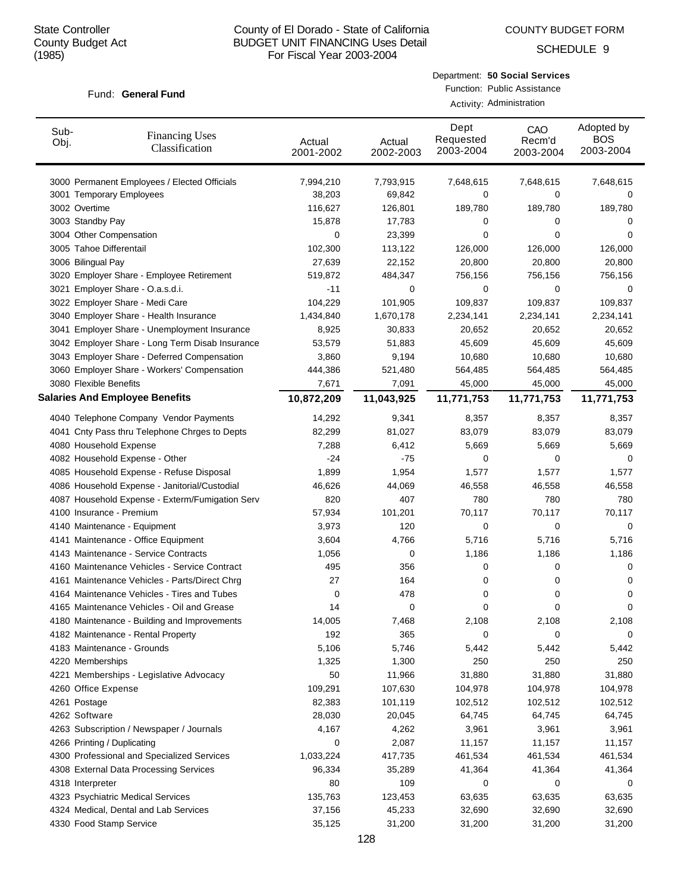COUNTY BUDGET FORM

SCHEDULE 9

#### Fund: General Fund

| Department: 50 Social Services |
|--------------------------------|
| Function: Public Assistance    |

Activity: Administration

| Sub-<br>Obj. | <b>Financing Uses</b><br>Classification         | Actual<br>2001-2002 | Actual<br>2002-2003 | Dept<br>Requested<br>2003-2004 | CAO<br>Recm'd<br>2003-2004 | Adopted by<br><b>BOS</b><br>2003-2004 |
|--------------|-------------------------------------------------|---------------------|---------------------|--------------------------------|----------------------------|---------------------------------------|
|              | 3000 Permanent Employees / Elected Officials    | 7,994,210           | 7,793,915           | 7,648,615                      | 7,648,615                  | 7,648,615                             |
|              | 3001 Temporary Employees                        | 38,203              | 69,842              | 0                              | 0                          | 0                                     |
|              | 3002 Overtime                                   | 116,627             | 126,801             | 189,780                        | 189,780                    | 189,780                               |
|              | 3003 Standby Pay                                | 15,878              | 17,783              | 0                              | 0                          | 0                                     |
|              | 3004 Other Compensation                         | 0                   | 23,399              | 0                              | 0                          | 0                                     |
|              | 3005 Tahoe Differentail                         | 102,300             | 113,122             | 126,000                        | 126,000                    | 126,000                               |
|              | 3006 Bilingual Pay                              | 27,639              | 22,152              | 20,800                         | 20,800                     | 20,800                                |
|              | 3020 Employer Share - Employee Retirement       | 519,872             | 484,347             | 756,156                        | 756,156                    | 756,156                               |
|              | 3021 Employer Share - O.a.s.d.i.                | $-11$               | 0                   | 0                              | 0                          | 0                                     |
|              | 3022 Employer Share - Medi Care                 | 104,229             | 101,905             | 109,837                        | 109,837                    | 109,837                               |
|              | 3040 Employer Share - Health Insurance          | 1,434,840           | 1,670,178           | 2,234,141                      | 2,234,141                  | 2,234,141                             |
|              | 3041 Employer Share - Unemployment Insurance    | 8,925               | 30,833              | 20,652                         | 20,652                     | 20,652                                |
|              | 3042 Employer Share - Long Term Disab Insurance | 53,579              | 51,883              | 45,609                         | 45,609                     | 45,609                                |
|              | 3043 Employer Share - Deferred Compensation     | 3,860               | 9,194               | 10,680                         | 10,680                     | 10,680                                |
|              | 3060 Employer Share - Workers' Compensation     | 444,386             | 521,480             | 564,485                        | 564,485                    | 564,485                               |
|              | 3080 Flexible Benefits                          | 7,671               | 7,091               | 45,000                         | 45,000                     | 45,000                                |
|              | <b>Salaries And Employee Benefits</b>           | 10,872,209          | 11,043,925          | 11,771,753                     | 11,771,753                 | 11,771,753                            |
|              | 4040 Telephone Company Vendor Payments          | 14,292              | 9,341               | 8,357                          | 8,357                      | 8,357                                 |
|              | 4041 Cnty Pass thru Telephone Chrges to Depts   | 82,299              | 81,027              | 83,079                         | 83,079                     | 83,079                                |
|              | 4080 Household Expense                          | 7,288               | 6,412               | 5,669                          | 5,669                      | 5,669                                 |
|              | 4082 Household Expense - Other                  | $-24$               | -75                 | 0                              | 0                          | 0                                     |
|              | 4085 Household Expense - Refuse Disposal        | 1,899               | 1,954               | 1,577                          | 1,577                      | 1,577                                 |
|              | 4086 Household Expense - Janitorial/Custodial   | 46,626              | 44,069              | 46,558                         | 46,558                     | 46,558                                |
|              | 4087 Household Expense - Exterm/Fumigation Serv | 820                 | 407                 | 780                            | 780                        | 780                                   |
|              | 4100 Insurance - Premium                        | 57,934              | 101,201             | 70,117                         | 70,117                     | 70,117                                |
|              | 4140 Maintenance - Equipment                    | 3,973               | 120                 | 0                              | 0                          | 0                                     |
|              | 4141 Maintenance - Office Equipment             | 3,604               | 4,766               | 5,716                          | 5,716                      | 5,716                                 |
|              | 4143 Maintenance - Service Contracts            | 1,056               | 0                   | 1,186                          | 1,186                      | 1,186                                 |
|              | 4160 Maintenance Vehicles - Service Contract    | 495                 | 356                 | 0                              | 0                          | 0                                     |
|              | 4161 Maintenance Vehicles - Parts/Direct Chrg   | 27                  | 164                 | 0                              | 0                          | 0                                     |
|              | 4164 Maintenance Vehicles - Tires and Tubes     | 0                   | 478                 | 0                              | 0                          | 0                                     |
|              | 4165 Maintenance Vehicles - Oil and Grease      | 14                  | 0                   | 0                              | 0                          | 0                                     |
|              | 4180 Maintenance - Building and Improvements    | 14,005              | 7,468               | 2,108                          | 2,108                      | 2,108                                 |
|              | 4182 Maintenance - Rental Property              | 192                 | 365                 | 0                              | 0                          | 0                                     |
|              | 4183 Maintenance - Grounds                      | 5,106               | 5,746               | 5,442                          | 5,442                      | 5,442                                 |
|              | 4220 Memberships                                | 1,325               | 1,300               | 250                            | 250                        | 250                                   |
|              | 4221 Memberships - Legislative Advocacy         | 50                  | 11,966              | 31,880                         | 31,880                     | 31,880                                |
|              | 4260 Office Expense                             | 109,291             | 107,630             | 104,978                        | 104,978                    | 104,978                               |
|              | 4261 Postage                                    | 82,383              | 101,119             | 102,512                        | 102,512                    | 102,512                               |
|              | 4262 Software                                   | 28,030              | 20,045              | 64,745                         | 64,745                     | 64,745                                |
|              | 4263 Subscription / Newspaper / Journals        | 4,167               | 4,262               | 3,961                          | 3,961                      | 3,961                                 |
|              | 4266 Printing / Duplicating                     | 0                   | 2,087               | 11,157                         | 11,157                     | 11,157                                |
|              | 4300 Professional and Specialized Services      | 1,033,224           | 417,735             | 461,534                        | 461,534                    | 461,534                               |
|              | 4308 External Data Processing Services          | 96,334              | 35,289              | 41,364                         | 41,364                     | 41,364                                |
|              | 4318 Interpreter                                | 80                  | 109                 | 0                              | 0                          | 0                                     |
|              | 4323 Psychiatric Medical Services               | 135,763             | 123,453             | 63,635                         | 63,635                     | 63,635                                |
|              | 4324 Medical, Dental and Lab Services           | 37,156              | 45,233              | 32,690                         | 32,690                     | 32,690                                |
|              | 4330 Food Stamp Service                         | 35,125              | 31,200              | 31,200                         | 31,200                     | 31,200                                |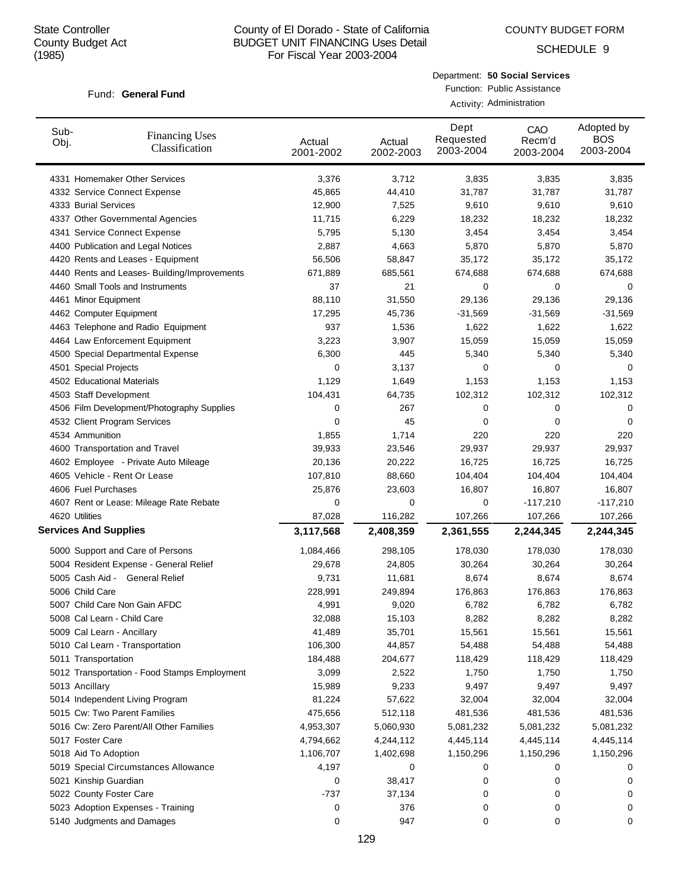COUNTY BUDGET FORM

SCHEDULE 9

#### Fund: General Fund

Department: **50 Social Services** Function: Public Assistance

Activity: Administration

| Sub-<br>Obj. | <b>Financing Uses</b><br>Classification      | Actual<br>2001-2002 | Actual<br>2002-2003 | Dept<br>Requested<br>2003-2004 | CAO<br>Recm'd<br>2003-2004 | Adopted by<br><b>BOS</b><br>2003-2004 |
|--------------|----------------------------------------------|---------------------|---------------------|--------------------------------|----------------------------|---------------------------------------|
|              | 4331 Homemaker Other Services                | 3,376               | 3,712               | 3,835                          | 3,835                      | 3,835                                 |
|              | 4332 Service Connect Expense                 | 45,865              | 44,410              | 31,787                         | 31,787                     | 31,787                                |
|              | 4333 Burial Services                         | 12,900              | 7,525               | 9,610                          | 9,610                      | 9,610                                 |
|              | 4337 Other Governmental Agencies             | 11,715              | 6,229               | 18,232                         | 18,232                     | 18,232                                |
|              | 4341 Service Connect Expense                 | 5,795               | 5,130               | 3,454                          | 3,454                      | 3,454                                 |
|              | 4400 Publication and Legal Notices           | 2,887               | 4,663               | 5,870                          | 5,870                      | 5,870                                 |
|              | 4420 Rents and Leases - Equipment            | 56,506              | 58,847              | 35,172                         | 35,172                     | 35,172                                |
|              | 4440 Rents and Leases- Building/Improvements | 671,889             | 685,561             | 674,688                        | 674,688                    | 674,688                               |
|              | 4460 Small Tools and Instruments             | 37                  | 21                  | 0                              | 0                          | 0                                     |
|              | 4461 Minor Equipment                         | 88,110              | 31,550              | 29,136                         | 29,136                     | 29,136                                |
|              | 4462 Computer Equipment                      | 17,295              | 45,736              | $-31,569$                      | $-31,569$                  | $-31,569$                             |
|              | 4463 Telephone and Radio Equipment           | 937                 | 1,536               | 1,622                          | 1,622                      | 1,622                                 |
|              | 4464 Law Enforcement Equipment               | 3,223               | 3,907               | 15,059                         | 15,059                     | 15,059                                |
|              | 4500 Special Departmental Expense            | 6,300               | 445                 | 5,340                          | 5,340                      | 5,340                                 |
|              | 4501 Special Projects                        | 0                   | 3,137               | 0                              | 0                          | 0                                     |
|              | 4502 Educational Materials                   | 1,129               | 1,649               | 1,153                          | 1,153                      | 1,153                                 |
|              | 4503 Staff Development                       | 104,431             | 64,735              | 102,312                        | 102,312                    | 102,312                               |
|              | 4506 Film Development/Photography Supplies   | 0                   | 267                 | 0                              | 0                          | 0                                     |
|              | 4532 Client Program Services                 | 0                   | 45                  | 0                              | 0                          | 0                                     |
|              | 4534 Ammunition                              | 1,855               | 1,714               | 220                            | 220                        | 220                                   |
|              | 4600 Transportation and Travel               | 39,933              | 23,546              | 29,937                         | 29,937                     | 29,937                                |
|              | 4602 Employee - Private Auto Mileage         | 20,136              | 20,222              | 16,725                         | 16,725                     | 16,725                                |
|              | 4605 Vehicle - Rent Or Lease                 | 107,810             | 88,660              | 104,404                        | 104,404                    | 104,404                               |
|              | 4606 Fuel Purchases                          | 25,876              | 23,603              | 16,807                         | 16,807                     | 16,807                                |
|              | 4607 Rent or Lease: Mileage Rate Rebate      | 0                   | 0                   | 0                              | $-117,210$                 | $-117,210$                            |
|              | 4620 Utilities                               | 87,028              | 116,282             | 107,266                        | 107,266                    | 107,266                               |
|              | <b>Services And Supplies</b>                 | 3,117,568           | 2,408,359           | 2,361,555                      | 2,244,345                  | 2,244,345                             |
|              | 5000 Support and Care of Persons             | 1,084,466           | 298,105             | 178,030                        | 178,030                    | 178,030                               |
|              | 5004 Resident Expense - General Relief       | 29,678              | 24,805              | 30,264                         | 30,264                     | 30,264                                |
|              | 5005 Cash Aid - General Relief               | 9,731               | 11,681              | 8,674                          | 8,674                      | 8,674                                 |
|              | 5006 Child Care                              | 228,991             | 249,894             | 176,863                        | 176,863                    | 176,863                               |
|              | 5007 Child Care Non Gain AFDC                | 4,991               | 9,020               | 6,782                          | 6,782                      | 6,782                                 |
|              | 5008 Cal Learn - Child Care                  | 32,088              | 15,103              | 8,282                          | 8,282                      | 8,282                                 |
|              | 5009 Cal Learn - Ancillary                   | 41,489              | 35,701              | 15,561                         | 15,561                     | 15,561                                |
|              | 5010 Cal Learn - Transportation              | 106,300             | 44,857              | 54,488                         | 54,488                     | 54,488                                |
|              | 5011 Transportation                          | 184,488             | 204,677             | 118,429                        | 118,429                    | 118,429                               |
|              | 5012 Transportation - Food Stamps Employment | 3,099               | 2,522               | 1,750                          | 1,750                      | 1,750                                 |
|              | 5013 Ancillary                               | 15,989              | 9,233               | 9,497                          | 9,497                      | 9,497                                 |
|              | 5014 Independent Living Program              | 81,224              | 57,622              | 32,004                         | 32,004                     | 32,004                                |
|              | 5015 Cw: Two Parent Families                 | 475,656             | 512,118             | 481,536                        | 481,536                    | 481,536                               |
|              | 5016 Cw: Zero Parent/All Other Families      | 4,953,307           | 5,060,930           | 5,081,232                      | 5,081,232                  | 5,081,232                             |
|              | 5017 Foster Care                             | 4,794,662           | 4,244,112           | 4,445,114                      | 4,445,114                  | 4,445,114                             |
|              | 5018 Aid To Adoption                         | 1,106,707           | 1,402,698           | 1,150,296                      | 1,150,296                  | 1,150,296                             |
|              | 5019 Special Circumstances Allowance         | 4,197               | 0                   | 0                              | 0                          | 0                                     |
|              | 5021 Kinship Guardian                        | 0                   | 38,417              | 0                              | 0                          | 0                                     |
|              | 5022 County Foster Care                      | -737                | 37,134              | 0                              | 0                          | 0                                     |
|              | 5023 Adoption Expenses - Training            | 0                   | 376                 | 0                              | 0                          | 0                                     |
|              | 5140 Judgments and Damages                   | 0                   | 947                 | 0                              | 0                          | 0                                     |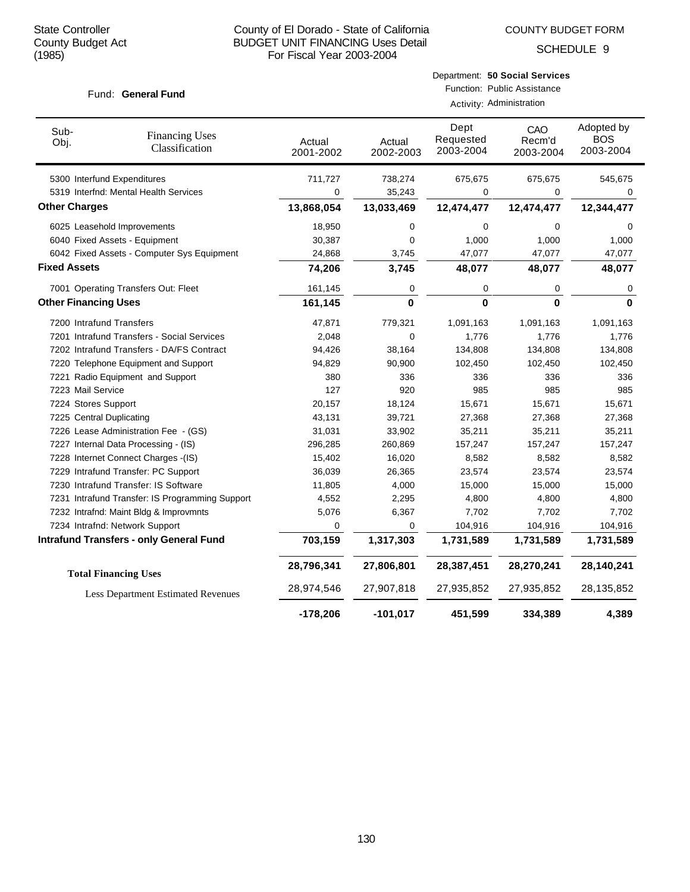SCHEDULE 9

#### Fund: General Fund

Activity: Administration

| Sub-<br>Obj.                | <b>Financing Uses</b><br>Classification         | Actual<br>2001-2002 | Actual<br>2002-2003 | Dept<br>Requested<br>2003-2004 | CAO<br>Recm'd<br>2003-2004 | Adopted by<br><b>BOS</b><br>2003-2004 |
|-----------------------------|-------------------------------------------------|---------------------|---------------------|--------------------------------|----------------------------|---------------------------------------|
|                             | 5300 Interfund Expenditures                     | 711,727             | 738,274             | 675,675                        | 675,675                    | 545,675                               |
|                             | 5319 Interfnd: Mental Health Services           | 0                   | 35,243              | 0                              | 0                          | 0                                     |
| <b>Other Charges</b>        |                                                 | 13,868,054          | 13,033,469          | 12,474,477                     | 12,474,477                 | 12,344,477                            |
|                             | 6025 Leasehold Improvements                     | 18,950              | 0                   | 0                              | 0                          | 0                                     |
|                             | 6040 Fixed Assets - Equipment                   | 30,387              | 0                   | 1,000                          | 1,000                      | 1,000                                 |
|                             | 6042 Fixed Assets - Computer Sys Equipment      | 24,868              | 3,745               | 47,077                         | 47,077                     | 47,077                                |
| <b>Fixed Assets</b>         |                                                 | 74,206              | 3,745               | 48,077                         | 48,077                     | 48,077                                |
|                             | 7001 Operating Transfers Out: Fleet             | 161,145             | 0                   | 0                              | 0                          | 0                                     |
| <b>Other Financing Uses</b> |                                                 | 161,145             | $\mathbf{0}$        | $\mathbf{0}$                   | 0                          | $\mathbf{0}$                          |
| 7200 Intrafund Transfers    |                                                 | 47,871              | 779,321             | 1,091,163                      | 1,091,163                  | 1,091,163                             |
|                             | 7201 Intrafund Transfers - Social Services      | 2,048               | 0                   | 1,776                          | 1,776                      | 1,776                                 |
|                             | 7202 Intrafund Transfers - DA/FS Contract       | 94,426              | 38,164              | 134,808                        | 134,808                    | 134,808                               |
|                             | 7220 Telephone Equipment and Support            | 94,829              | 90,900              | 102,450                        | 102,450                    | 102,450                               |
|                             | 7221 Radio Equipment and Support                | 380                 | 336                 | 336                            | 336                        | 336                                   |
| 7223 Mail Service           |                                                 | 127                 | 920                 | 985                            | 985                        | 985                                   |
| 7224 Stores Support         |                                                 | 20,157              | 18,124              | 15,671                         | 15,671                     | 15,671                                |
| 7225 Central Duplicating    |                                                 | 43,131              | 39,721              | 27,368                         | 27,368                     | 27,368                                |
|                             | 7226 Lease Administration Fee - (GS)            | 31,031              | 33,902              | 35,211                         | 35,211                     | 35,211                                |
|                             | 7227 Internal Data Processing - (IS)            | 296,285             | 260,869             | 157,247                        | 157,247                    | 157,247                               |
|                             | 7228 Internet Connect Charges -(IS)             | 15,402              | 16,020              | 8,582                          | 8,582                      | 8,582                                 |
|                             | 7229 Intrafund Transfer: PC Support             | 36,039              | 26,365              | 23,574                         | 23,574                     | 23,574                                |
|                             | 7230 Intrafund Transfer: IS Software            | 11,805              | 4,000               | 15,000                         | 15,000                     | 15,000                                |
|                             | 7231 Intrafund Transfer: IS Programming Support | 4,552               | 2,295               | 4,800                          | 4,800                      | 4,800                                 |
|                             | 7232 Intrafnd: Maint Bldg & Improvmnts          | 5,076               | 6,367               | 7,702                          | 7,702                      | 7,702                                 |
|                             | 7234 Intrafnd: Network Support                  | 0                   | 0                   | 104,916                        | 104,916                    | 104,916                               |
|                             | <b>Intrafund Transfers - only General Fund</b>  | 703,159             | 1,317,303           | 1,731,589                      | 1,731,589                  | 1,731,589                             |
|                             | <b>Total Financing Uses</b>                     | 28,796,341          | 27,806,801          | 28,387,451                     | 28,270,241                 | 28,140,241                            |
|                             | <b>Less Department Estimated Revenues</b>       | 28,974,546          | 27,907,818          | 27,935,852                     | 27,935,852                 | 28,135,852                            |
|                             |                                                 | $-178,206$          | $-101,017$          | 451,599                        | 334,389                    | 4,389                                 |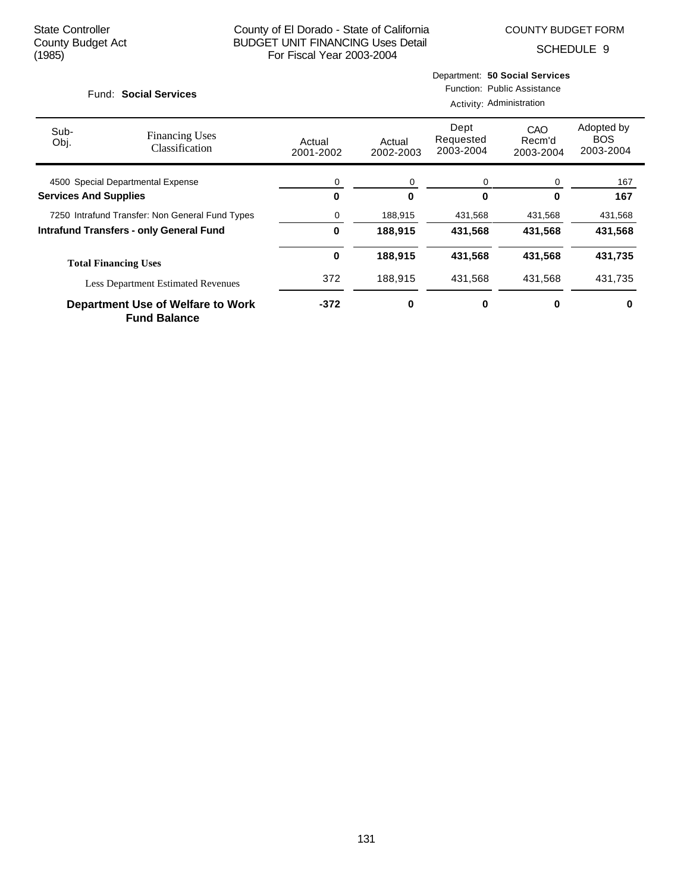COUNTY BUDGET FORM

SCHEDULE 9

| Fund: Social Services             |                                                          |                     | Department: 50 Social Services<br>Function: Public Assistance<br>Activity: Administration |                                |                            |                                       |  |
|-----------------------------------|----------------------------------------------------------|---------------------|-------------------------------------------------------------------------------------------|--------------------------------|----------------------------|---------------------------------------|--|
| Sub-<br>Obj.                      | <b>Financing Uses</b><br>Classification                  | Actual<br>2001-2002 | Actual<br>2002-2003                                                                       | Dept<br>Requested<br>2003-2004 | CAO<br>Recm'd<br>2003-2004 | Adopted by<br><b>BOS</b><br>2003-2004 |  |
| 4500 Special Departmental Expense |                                                          | 0                   | 0                                                                                         | 0                              | 0                          | 167                                   |  |
| <b>Services And Supplies</b>      |                                                          | 0                   | 0                                                                                         | $\bf{0}$                       | 0                          | 167                                   |  |
|                                   | 7250 Intrafund Transfer: Non General Fund Types          | 0                   | 188,915                                                                                   | 431,568                        | 431,568                    | 431,568                               |  |
|                                   | <b>Intrafund Transfers - only General Fund</b>           | 0                   | 188,915                                                                                   | 431,568                        | 431,568                    | 431,568                               |  |
|                                   | <b>Total Financing Uses</b>                              | 0                   | 188,915                                                                                   | 431,568                        | 431,568                    | 431,735                               |  |
|                                   | <b>Less Department Estimated Revenues</b>                | 372                 | 188,915                                                                                   | 431,568                        | 431,568                    | 431,735                               |  |
|                                   | Department Use of Welfare to Work<br><b>Fund Balance</b> | $-372$              | 0                                                                                         | 0                              | 0                          | 0                                     |  |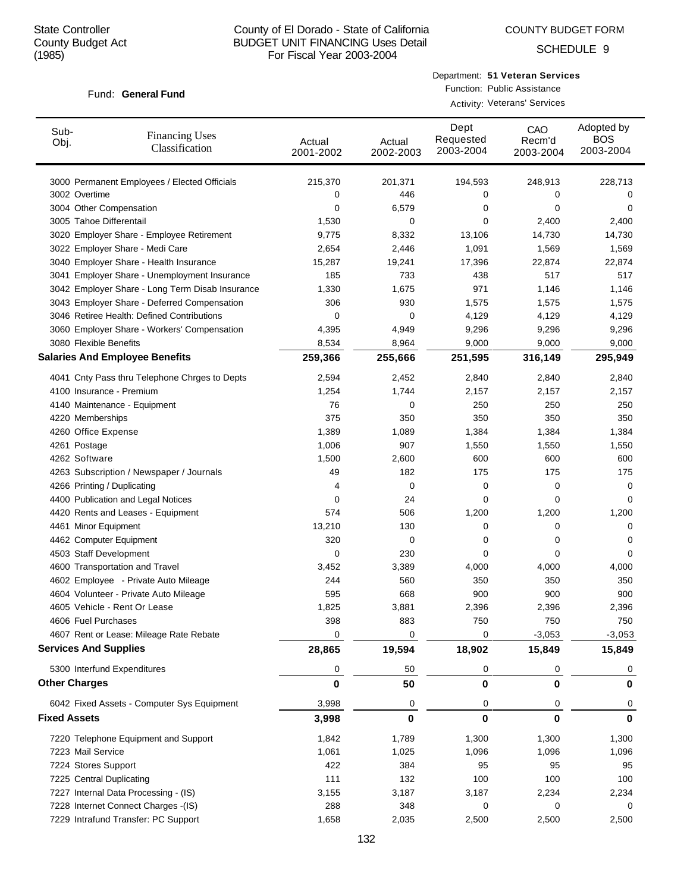SCHEDULE 9

#### Fund: General Fund

Department: **51 Veteran Services** Function: Public Assistance

Activity: Veterans' Services

| Sub-<br>Obj.         | <b>Financing Uses</b><br>Classification         | Actual<br>2001-2002 | Actual<br>2002-2003 | Dept<br>Requested<br>2003-2004 | CAO<br>Recm'd<br>2003-2004 | Adopted by<br><b>BOS</b><br>2003-2004 |
|----------------------|-------------------------------------------------|---------------------|---------------------|--------------------------------|----------------------------|---------------------------------------|
|                      | 3000 Permanent Employees / Elected Officials    | 215,370             | 201,371             | 194,593                        | 248,913                    | 228,713                               |
| 3002 Overtime        |                                                 | 0                   | 446                 | 0                              | 0                          | 0                                     |
|                      | 3004 Other Compensation                         | 0                   | 6,579               | 0                              | 0                          | 0                                     |
|                      | 3005 Tahoe Differentail                         | 1,530               | 0                   | 0                              | 2,400                      | 2,400                                 |
|                      | 3020 Employer Share - Employee Retirement       | 9,775               | 8,332               | 13,106                         | 14,730                     | 14,730                                |
|                      | 3022 Employer Share - Medi Care                 | 2,654               | 2,446               | 1,091                          | 1,569                      | 1,569                                 |
|                      | 3040 Employer Share - Health Insurance          | 15,287              | 19,241              | 17,396                         | 22,874                     | 22,874                                |
|                      | 3041 Employer Share - Unemployment Insurance    | 185                 | 733                 | 438                            | 517                        | 517                                   |
|                      | 3042 Employer Share - Long Term Disab Insurance | 1,330               | 1,675               | 971                            | 1,146                      | 1,146                                 |
|                      | 3043 Employer Share - Deferred Compensation     | 306                 | 930                 | 1,575                          | 1,575                      | 1,575                                 |
|                      | 3046 Retiree Health: Defined Contributions      | 0                   | 0                   | 4,129                          | 4,129                      | 4,129                                 |
|                      | 3060 Employer Share - Workers' Compensation     | 4,395               | 4,949               | 9,296                          | 9,296                      | 9,296                                 |
|                      | 3080 Flexible Benefits                          | 8,534               | 8,964               | 9,000                          | 9,000                      | 9,000                                 |
|                      | <b>Salaries And Employee Benefits</b>           | 259,366             | 255,666             | 251,595                        | 316,149                    | 295,949                               |
|                      | 4041 Cnty Pass thru Telephone Chrges to Depts   | 2,594               | 2,452               | 2,840                          | 2,840                      | 2,840                                 |
|                      | 4100 Insurance - Premium                        | 1,254               | 1,744               | 2,157                          | 2,157                      | 2,157                                 |
|                      | 4140 Maintenance - Equipment                    | 76                  | 0                   | 250                            | 250                        | 250                                   |
|                      | 4220 Memberships                                | 375                 | 350                 | 350                            | 350                        | 350                                   |
|                      | 4260 Office Expense                             | 1,389               | 1,089               | 1,384                          | 1,384                      | 1,384                                 |
| 4261 Postage         |                                                 | 1,006               | 907                 | 1,550                          | 1,550                      | 1,550                                 |
| 4262 Software        |                                                 | 1,500               | 2,600               | 600                            | 600                        | 600                                   |
|                      | 4263 Subscription / Newspaper / Journals        | 49                  | 182                 | 175                            | 175                        | 175                                   |
|                      | 4266 Printing / Duplicating                     | 4                   | 0                   | 0                              | 0                          | 0                                     |
|                      | 4400 Publication and Legal Notices              | 0                   | 24                  | 0                              | $\mathbf 0$                | 0                                     |
|                      | 4420 Rents and Leases - Equipment               | 574                 | 506                 | 1,200                          | 1,200                      | 1,200                                 |
|                      | 4461 Minor Equipment                            | 13,210              | 130                 | 0                              | 0                          | 0                                     |
|                      | 4462 Computer Equipment                         | 320                 | 0                   | 0                              | 0                          | 0                                     |
|                      | 4503 Staff Development                          | 0                   | 230                 | 0                              | $\mathbf 0$                | 0                                     |
|                      | 4600 Transportation and Travel                  | 3,452               | 3,389               | 4,000                          | 4,000                      | 4,000                                 |
|                      | 4602 Employee - Private Auto Mileage            | 244                 | 560                 | 350                            | 350                        | 350                                   |
|                      | 4604 Volunteer - Private Auto Mileage           | 595                 | 668                 | 900                            | 900                        | 900                                   |
|                      | 4605 Vehicle - Rent Or Lease                    | 1,825               | 3,881               | 2,396                          | 2,396                      | 2,396                                 |
|                      | 4606 Fuel Purchases                             | 398                 | 883                 | 750                            | 750                        | 750                                   |
|                      | 4607 Rent or Lease: Mileage Rate Rebate         | 0                   | 0                   | 0                              | $-3,053$                   | $-3,053$                              |
|                      | <b>Services And Supplies</b>                    | 28,865              | 19,594              | 18,902                         | 15,849                     | 15,849                                |
|                      | 5300 Interfund Expenditures                     | 0                   | 50                  | 0                              | 0                          | 0                                     |
| <b>Other Charges</b> |                                                 | 0                   | 50                  | 0                              | 0                          | $\bf{0}$                              |
|                      | 6042 Fixed Assets - Computer Sys Equipment      | 3,998               | 0                   | 0                              | 0                          | 0                                     |
| <b>Fixed Assets</b>  |                                                 | 3,998               | $\bf{0}$            | 0                              | $\bf{0}$                   | $\mathbf 0$                           |
|                      | 7220 Telephone Equipment and Support            | 1,842               | 1,789               | 1,300                          | 1,300                      | 1,300                                 |
|                      | 7223 Mail Service                               | 1,061               | 1,025               | 1,096                          | 1,096                      | 1,096                                 |
|                      | 7224 Stores Support                             | 422                 | 384                 | 95                             | 95                         | 95                                    |
|                      | 7225 Central Duplicating                        | 111                 | 132                 | 100                            | 100                        | 100                                   |
|                      | 7227 Internal Data Processing - (IS)            | 3,155               | 3,187               | 3,187                          | 2,234                      | 2,234                                 |
|                      | 7228 Internet Connect Charges -(IS)             | 288                 | 348                 | 0                              | 0                          | 0                                     |
|                      | 7229 Intrafund Transfer: PC Support             | 1,658               | 2,035               | 2,500                          | 2,500                      | 2,500                                 |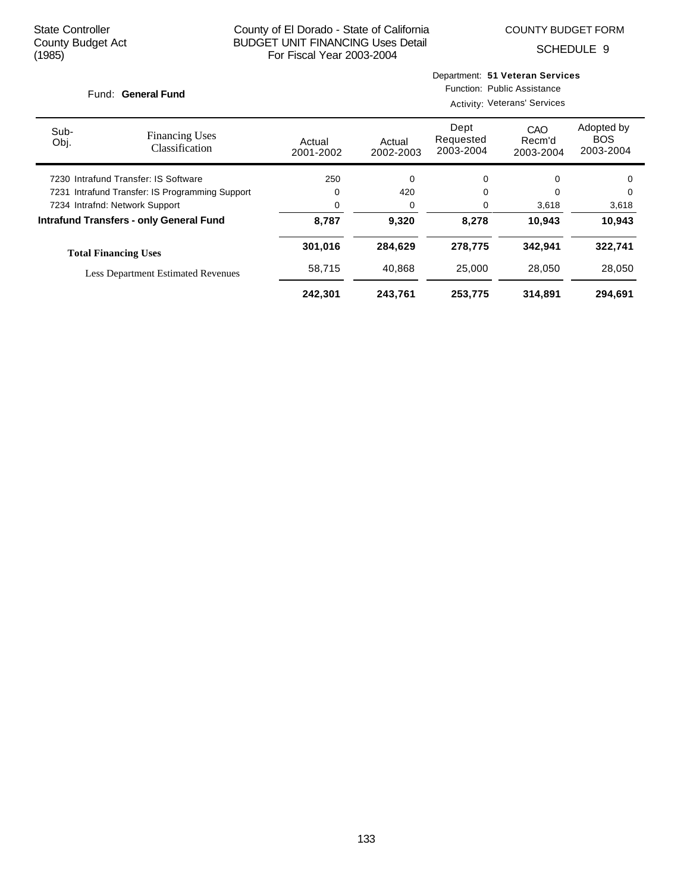COUNTY BUDGET FORM

Department: **51 Veteran Services**

SCHEDULE 9

| Fund: General Fund                              |                                                |                     | Function: Public Assistance<br><b>Activity: Veterans' Services</b> |                                |                            |                                       |
|-------------------------------------------------|------------------------------------------------|---------------------|--------------------------------------------------------------------|--------------------------------|----------------------------|---------------------------------------|
| Sub-<br>Obj.                                    | <b>Financing Uses</b><br>Classification        | Actual<br>2001-2002 | Actual<br>2002-2003                                                | Dept<br>Requested<br>2003-2004 | CAO<br>Recm'd<br>2003-2004 | Adopted by<br><b>BOS</b><br>2003-2004 |
| 7230 Intrafund Transfer: IS Software            |                                                | 250                 | 0                                                                  | 0                              | 0                          | 0                                     |
| 7231 Intrafund Transfer: IS Programming Support |                                                | 0                   | 420                                                                | 0                              |                            | 0                                     |
|                                                 | 7234 Intrafnd: Network Support                 | 0                   | 0                                                                  | 0                              | 3,618                      | 3,618                                 |
|                                                 | <b>Intrafund Transfers - only General Fund</b> | 8,787               | 9,320                                                              | 8,278                          | 10,943                     | 10,943                                |
|                                                 | <b>Total Financing Uses</b>                    | 301,016             | 284,629                                                            | 278,775                        | 342,941                    | 322,741                               |
|                                                 | <b>Less Department Estimated Revenues</b>      | 58,715              | 40.868                                                             | 25,000                         | 28.050                     | 28,050                                |
|                                                 |                                                | 242,301             | 243,761                                                            | 253,775                        | 314,891                    | 294,691                               |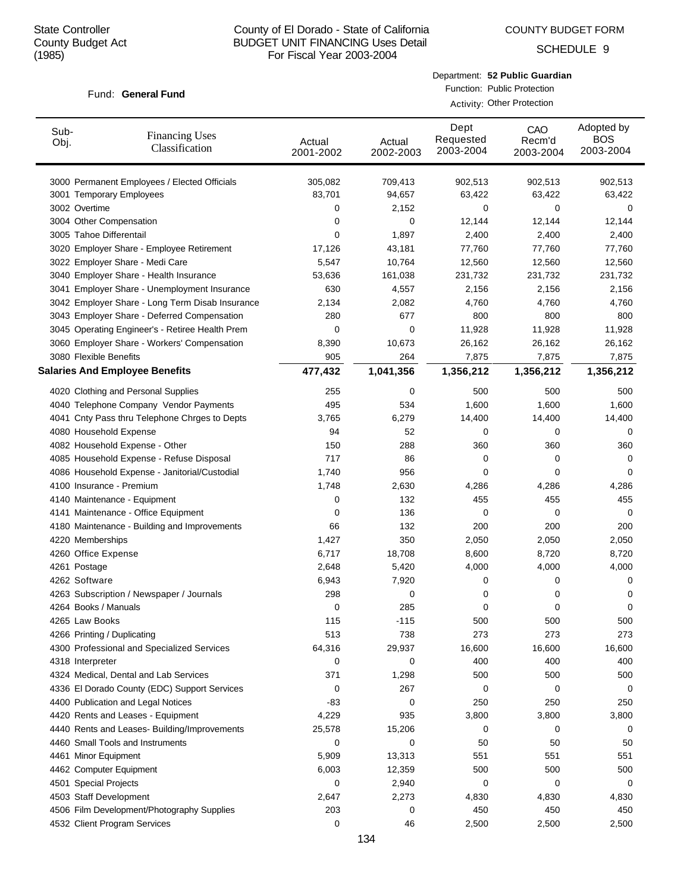COUNTY BUDGET FORM

SCHEDULE 9

# Fund: General Fund

| Department: 52 Public Guardian |
|--------------------------------|
| Function: Public Protection    |

Activity: Other Protection

| Sub-<br>Obj. | <b>Financing Uses</b><br>Classification         | Actual<br>2001-2002 | Actual<br>2002-2003 | Dept<br>Requested<br>2003-2004 | CAO<br>Recm'd<br>2003-2004 | Adopted by<br><b>BOS</b><br>2003-2004 |
|--------------|-------------------------------------------------|---------------------|---------------------|--------------------------------|----------------------------|---------------------------------------|
|              | 3000 Permanent Employees / Elected Officials    | 305,082             | 709,413             | 902,513                        | 902,513                    | 902,513                               |
|              | 3001 Temporary Employees                        | 83,701              | 94,657              | 63,422                         | 63,422                     | 63,422                                |
|              | 3002 Overtime                                   | 0                   | 2,152               | 0                              | 0                          | 0                                     |
|              | 3004 Other Compensation                         | 0                   | 0                   | 12,144                         | 12,144                     | 12,144                                |
|              | 3005 Tahoe Differentail                         | 0                   | 1,897               | 2,400                          | 2,400                      | 2,400                                 |
|              | 3020 Employer Share - Employee Retirement       | 17,126              | 43,181              | 77,760                         | 77,760                     | 77,760                                |
|              | 3022 Employer Share - Medi Care                 | 5,547               | 10,764              | 12,560                         | 12,560                     | 12,560                                |
|              | 3040 Employer Share - Health Insurance          | 53,636              | 161,038             | 231,732                        | 231,732                    | 231,732                               |
|              | 3041 Employer Share - Unemployment Insurance    | 630                 | 4,557               | 2,156                          | 2,156                      | 2,156                                 |
|              | 3042 Employer Share - Long Term Disab Insurance | 2,134               | 2,082               | 4,760                          | 4,760                      | 4,760                                 |
|              | 3043 Employer Share - Deferred Compensation     | 280                 | 677                 | 800                            | 800                        | 800                                   |
|              | 3045 Operating Engineer's - Retiree Health Prem | 0                   | 0                   | 11,928                         | 11,928                     | 11,928                                |
|              | 3060 Employer Share - Workers' Compensation     | 8,390               | 10,673              | 26,162                         | 26,162                     | 26,162                                |
|              | 3080 Flexible Benefits                          | 905                 | 264                 | 7,875                          | 7,875                      | 7,875                                 |
|              | <b>Salaries And Employee Benefits</b>           | 477,432             | 1,041,356           | 1,356,212                      | 1,356,212                  | 1,356,212                             |
|              | 4020 Clothing and Personal Supplies             | 255                 | 0                   | 500                            | 500                        | 500                                   |
|              | 4040 Telephone Company Vendor Payments          | 495                 | 534                 | 1,600                          | 1,600                      | 1,600                                 |
|              | 4041 Cnty Pass thru Telephone Chrges to Depts   | 3,765               | 6,279               | 14,400                         | 14,400                     | 14,400                                |
|              | 4080 Household Expense                          | 94                  | 52                  | 0                              | 0                          | 0                                     |
|              | 4082 Household Expense - Other                  | 150                 | 288                 | 360                            | 360                        | 360                                   |
|              | 4085 Household Expense - Refuse Disposal        | 717                 | 86                  | 0                              | 0                          | 0                                     |
|              | 4086 Household Expense - Janitorial/Custodial   | 1,740               | 956                 | 0                              | 0                          | 0                                     |
|              | 4100 Insurance - Premium                        | 1,748               | 2,630               | 4,286                          | 4,286                      | 4,286                                 |
|              | 4140 Maintenance - Equipment                    | 0                   | 132                 | 455                            | 455                        | 455                                   |
|              | 4141 Maintenance - Office Equipment             | 0                   | 136                 | 0                              | 0                          | 0                                     |
|              | 4180 Maintenance - Building and Improvements    | 66                  | 132                 | 200                            | 200                        | 200                                   |
|              | 4220 Memberships                                | 1,427               | 350                 | 2,050                          | 2,050                      | 2,050                                 |
|              | 4260 Office Expense                             | 6,717               | 18,708              | 8,600                          | 8,720                      | 8,720                                 |
|              | 4261 Postage                                    | 2,648               | 5,420               | 4,000                          | 4,000                      | 4,000                                 |
|              | 4262 Software                                   | 6,943               | 7,920               | 0                              | 0                          | 0                                     |
|              | 4263 Subscription / Newspaper / Journals        | 298                 | 0                   | 0                              | 0                          | 0                                     |
|              | 4264 Books / Manuals                            | 0                   | 285                 | 0                              | 0                          | 0                                     |
|              | 4265 Law Books                                  | 115                 | $-115$              | 500                            | 500                        | 500                                   |
|              | 4266 Printing / Duplicating                     | 513                 | 738                 | 273                            | 273                        | 273                                   |
|              | 4300 Professional and Specialized Services      | 64,316              | 29,937              | 16,600                         | 16,600                     | 16,600                                |
|              | 4318 Interpreter                                | 0                   | 0                   | 400                            | 400                        | 400                                   |
|              | 4324 Medical, Dental and Lab Services           | 371                 | 1,298               | 500                            | 500                        | 500                                   |
|              | 4336 El Dorado County (EDC) Support Services    | 0                   | 267                 | 0                              | 0                          | 0                                     |
|              | 4400 Publication and Legal Notices              | -83                 | 0                   | 250                            | 250                        | 250                                   |
|              | 4420 Rents and Leases - Equipment               | 4,229               | 935                 | 3,800                          | 3,800                      | 3,800                                 |
|              | 4440 Rents and Leases- Building/Improvements    | 25,578              | 15,206              | 0                              | 0                          | 0                                     |
|              | 4460 Small Tools and Instruments                | 0                   | 0                   | 50                             | 50                         | 50                                    |
|              | 4461 Minor Equipment                            | 5,909               | 13,313              | 551                            | 551                        | 551                                   |
|              | 4462 Computer Equipment                         | 6,003               | 12,359              | 500                            | 500                        | 500                                   |
|              | 4501 Special Projects                           | 0                   | 2,940               | 0                              | 0                          | 0                                     |
|              | 4503 Staff Development                          | 2,647               | 2,273               | 4,830                          | 4,830                      | 4,830                                 |
|              | 4506 Film Development/Photography Supplies      | 203                 | 0                   | 450                            | 450                        | 450                                   |
|              | 4532 Client Program Services                    | 0                   | 46                  | 2,500                          | 2,500                      | 2,500                                 |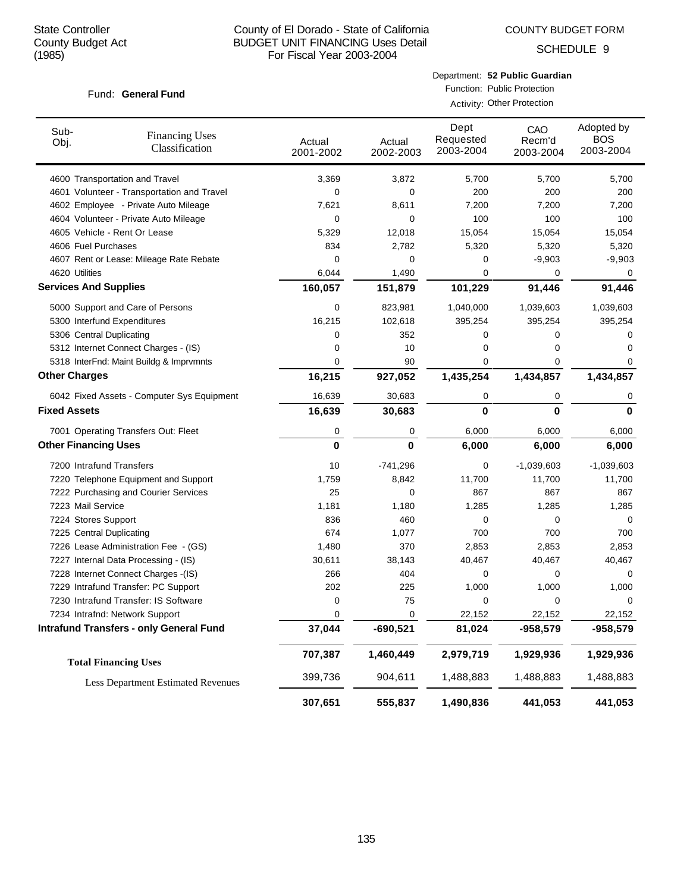COUNTY BUDGET FORM

SCHEDULE 9

#### Fund: General Fund

| Department: 52 Public Guardian |
|--------------------------------|
| Function: Public Protection    |

Activity: Other Protection

| Sub-<br>Obj.                 | <b>Financing Uses</b><br>Classification        | Actual<br>2001-2002 | Actual<br>2002-2003 | Dept<br>Requested<br>2003-2004 | CAO<br>Recm'd<br>2003-2004 | Adopted by<br><b>BOS</b><br>2003-2004 |
|------------------------------|------------------------------------------------|---------------------|---------------------|--------------------------------|----------------------------|---------------------------------------|
|                              | 4600 Transportation and Travel                 | 3,369               | 3,872               | 5,700                          | 5,700                      | 5,700                                 |
|                              | 4601 Volunteer - Transportation and Travel     | 0                   | 0                   | 200                            | 200                        | 200                                   |
|                              | 4602 Employee - Private Auto Mileage           | 7,621               | 8,611               | 7,200                          | 7,200                      | 7,200                                 |
|                              | 4604 Volunteer - Private Auto Mileage          | 0                   | 0                   | 100                            | 100                        | 100                                   |
|                              | 4605 Vehicle - Rent Or Lease                   | 5,329               | 12,018              | 15,054                         | 15,054                     | 15,054                                |
| 4606 Fuel Purchases          |                                                | 834                 | 2,782               | 5,320                          | 5,320                      | 5,320                                 |
|                              | 4607 Rent or Lease: Mileage Rate Rebate        | 0                   | 0                   | 0                              | $-9,903$                   | $-9,903$                              |
| 4620 Utilities               |                                                | 6,044               | 1,490               | 0                              | 0                          | 0                                     |
| <b>Services And Supplies</b> |                                                | 160,057             | 151,879             | 101,229                        | 91,446                     | 91,446                                |
|                              | 5000 Support and Care of Persons               | 0                   | 823,981             | 1,040,000                      | 1,039,603                  | 1,039,603                             |
|                              | 5300 Interfund Expenditures                    | 16,215              | 102,618             | 395,254                        | 395,254                    | 395,254                               |
| 5306 Central Duplicating     |                                                | 0                   | 352                 | 0                              | 0                          | 0                                     |
|                              | 5312 Internet Connect Charges - (IS)           | 0                   | 10                  | 0                              | 0                          | 0                                     |
|                              | 5318 InterFnd: Maint Buildg & Imprvmnts        | 0                   | 90                  | 0                              | 0                          | 0                                     |
| <b>Other Charges</b>         |                                                | 16,215              | 927,052             | 1,435,254                      | 1,434,857                  | 1,434,857                             |
|                              | 6042 Fixed Assets - Computer Sys Equipment     | 16,639              | 30,683              | 0                              | 0                          | 0                                     |
| <b>Fixed Assets</b>          |                                                | 16,639              | 30,683              | 0                              | 0                          | $\bf{0}$                              |
|                              | 7001 Operating Transfers Out: Fleet            | 0                   | 0                   | 6,000                          | 6,000                      | 6,000                                 |
| <b>Other Financing Uses</b>  |                                                | $\bf{0}$            | 0                   | 6,000                          | 6,000                      | 6,000                                 |
| 7200 Intrafund Transfers     |                                                | 10                  | $-741,296$          | 0                              | $-1,039,603$               | $-1,039,603$                          |
|                              | 7220 Telephone Equipment and Support           | 1,759               | 8,842               | 11,700                         | 11,700                     | 11,700                                |
|                              | 7222 Purchasing and Courier Services           | 25                  | 0                   | 867                            | 867                        | 867                                   |
| 7223 Mail Service            |                                                | 1,181               | 1,180               | 1,285                          | 1,285                      | 1,285                                 |
| 7224 Stores Support          |                                                | 836                 | 460                 | 0                              | 0                          | 0                                     |
| 7225 Central Duplicating     |                                                | 674                 | 1,077               | 700                            | 700                        | 700                                   |
|                              | 7226 Lease Administration Fee - (GS)           | 1,480               | 370                 | 2,853                          | 2,853                      | 2,853                                 |
|                              | 7227 Internal Data Processing - (IS)           | 30,611              | 38,143              | 40,467                         | 40,467                     | 40,467                                |
|                              | 7228 Internet Connect Charges -(IS)            | 266                 | 404                 | 0                              | 0                          | 0                                     |
|                              | 7229 Intrafund Transfer: PC Support            | 202                 | 225                 | 1,000                          | 1,000                      | 1,000                                 |
|                              | 7230 Intrafund Transfer: IS Software           | 0                   | 75                  | 0                              | 0                          | 0                                     |
|                              | 7234 Intrafnd: Network Support                 | 0                   | 0                   | 22,152                         | 22,152                     | 22,152                                |
|                              | <b>Intrafund Transfers - only General Fund</b> | 37,044              | $-690,521$          | 81,024                         | -958,579                   | $-958,579$                            |
|                              | <b>Total Financing Uses</b>                    | 707,387             | 1,460,449           | 2,979,719                      | 1,929,936                  | 1,929,936                             |
|                              | <b>Less Department Estimated Revenues</b>      | 399,736             | 904,611             | 1,488,883                      | 1,488,883                  | 1,488,883                             |
|                              |                                                | 307,651             | 555,837             | 1,490,836                      | 441,053                    | 441,053                               |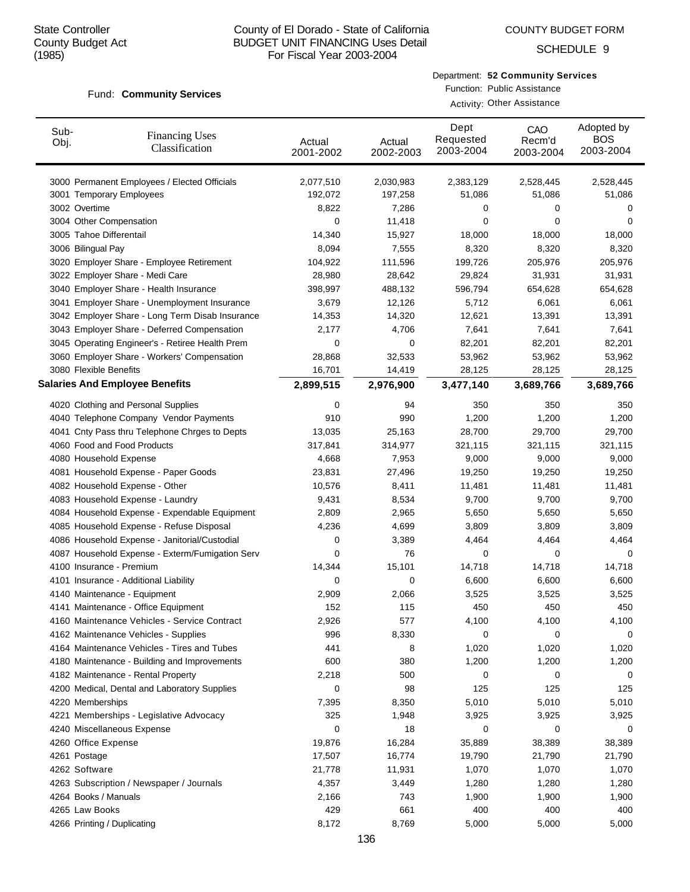Fund: Community Services

## County of El Dorado - State of California BUDGET UNIT FINANCING Uses Detail For Fiscal Year 2003-2004

#### COUNTY BUDGET FORM

SCHEDULE 9

#### Department: **52 Community Services**

Function: Public Assistance Activity: Other Assistance

| Sub-<br>Obj. | <b>Financing Uses</b><br>Classification         | Actual    | Actual    | Dept<br>Requested | CAO<br>Recm'd | Adopted by<br><b>BOS</b> |
|--------------|-------------------------------------------------|-----------|-----------|-------------------|---------------|--------------------------|
|              |                                                 | 2001-2002 | 2002-2003 | 2003-2004         | 2003-2004     | 2003-2004                |
|              |                                                 |           |           |                   |               |                          |
|              | 3000 Permanent Employees / Elected Officials    | 2,077,510 | 2,030,983 | 2,383,129         | 2,528,445     | 2,528,445                |
|              | 3001 Temporary Employees                        | 192,072   | 197,258   | 51,086            | 51,086        | 51,086                   |
|              | 3002 Overtime                                   | 8,822     | 7,286     | 0                 | 0             | 0                        |
|              | 3004 Other Compensation                         | 0         | 11,418    | 0                 | 0             | 0                        |
|              | 3005 Tahoe Differentail                         | 14,340    | 15,927    | 18,000            | 18,000        | 18,000                   |
|              | 3006 Bilingual Pay                              | 8,094     | 7,555     | 8,320             | 8,320         | 8,320                    |
|              | 3020 Employer Share - Employee Retirement       | 104,922   | 111,596   | 199,726           | 205,976       | 205,976                  |
|              | 3022 Employer Share - Medi Care                 | 28,980    | 28,642    | 29,824            | 31,931        | 31,931                   |
|              | 3040 Employer Share - Health Insurance          | 398,997   | 488,132   | 596,794           | 654,628       | 654,628                  |
|              | 3041 Employer Share - Unemployment Insurance    | 3,679     | 12,126    | 5,712             | 6,061         | 6,061                    |
|              | 3042 Employer Share - Long Term Disab Insurance | 14,353    | 14,320    | 12,621            | 13,391        | 13,391                   |
|              | 3043 Employer Share - Deferred Compensation     | 2,177     | 4,706     | 7,641             | 7,641         | 7,641                    |
|              | 3045 Operating Engineer's - Retiree Health Prem | 0         | 0         | 82,201            | 82,201        | 82,201                   |
|              | 3060 Employer Share - Workers' Compensation     | 28,868    | 32,533    | 53,962            | 53,962        | 53,962                   |
|              | 3080 Flexible Benefits                          | 16,701    | 14,419    | 28,125            | 28,125        | 28,125                   |
|              | <b>Salaries And Employee Benefits</b>           | 2,899,515 | 2,976,900 | 3,477,140         | 3,689,766     | 3,689,766                |
|              | 4020 Clothing and Personal Supplies             | 0         | 94        | 350               | 350           | 350                      |
|              | 4040 Telephone Company Vendor Payments          | 910       | 990       | 1,200             | 1,200         | 1,200                    |
|              | 4041 Cnty Pass thru Telephone Chrges to Depts   | 13,035    | 25,163    | 28,700            | 29,700        | 29,700                   |
|              | 4060 Food and Food Products                     | 317,841   | 314,977   | 321,115           | 321,115       | 321,115                  |
|              | 4080 Household Expense                          | 4,668     | 7,953     | 9,000             | 9,000         | 9,000                    |
|              | 4081 Household Expense - Paper Goods            | 23,831    | 27,496    | 19,250            | 19,250        | 19,250                   |
|              | 4082 Household Expense - Other                  | 10,576    | 8,411     | 11,481            | 11,481        | 11,481                   |
|              | 4083 Household Expense - Laundry                | 9,431     | 8,534     | 9,700             | 9,700         | 9,700                    |
|              | 4084 Household Expense - Expendable Equipment   | 2,809     | 2,965     | 5,650             | 5,650         | 5,650                    |
|              | 4085 Household Expense - Refuse Disposal        | 4,236     | 4,699     | 3,809             | 3,809         | 3,809                    |
|              | 4086 Household Expense - Janitorial/Custodial   | 0         | 3,389     | 4,464             | 4,464         | 4,464                    |
|              | 4087 Household Expense - Exterm/Fumigation Serv | 0         | 76        | 0                 | 0             | 0                        |
|              | 4100 Insurance - Premium                        | 14,344    | 15,101    | 14,718            | 14,718        | 14,718                   |
|              | 4101 Insurance - Additional Liability           | 0         | 0         | 6,600             | 6,600         | 6,600                    |
|              | 4140 Maintenance - Equipment                    | 2,909     | 2,066     | 3,525             | 3,525         | 3,525                    |
|              | 4141 Maintenance - Office Equipment             | 152       | 115       | 450               | 450           | 450                      |
|              | 4160 Maintenance Vehicles - Service Contract    | 2,926     | 577       | 4,100             | 4,100         | 4,100                    |
|              | 4162 Maintenance Vehicles - Supplies            | 996       | 8,330     | 0                 | 0             | 0                        |
|              | 4164 Maintenance Vehicles - Tires and Tubes     | 441       | 8         | 1,020             | 1,020         | 1,020                    |
|              | 4180 Maintenance - Building and Improvements    | 600       | 380       | 1,200             | 1,200         | 1,200                    |
|              | 4182 Maintenance - Rental Property              | 2,218     | 500       | 0                 | 0             | 0                        |
|              | 4200 Medical, Dental and Laboratory Supplies    | 0         | 98        | 125               | 125           | 125                      |
|              | 4220 Memberships                                | 7,395     | 8,350     | 5,010             | 5,010         | 5,010                    |
|              | 4221 Memberships - Legislative Advocacy         | 325       | 1,948     | 3,925             | 3,925         | 3,925                    |
|              | 4240 Miscellaneous Expense                      | 0         | 18        | 0                 | 0             | 0                        |
|              | 4260 Office Expense                             | 19,876    | 16,284    | 35,889            | 38,389        | 38,389                   |
|              | 4261 Postage                                    | 17,507    | 16,774    | 19,790            | 21,790        | 21,790                   |
|              | 4262 Software                                   | 21,778    | 11,931    | 1,070             | 1,070         | 1,070                    |
|              | 4263 Subscription / Newspaper / Journals        | 4,357     | 3,449     | 1,280             | 1,280         | 1,280                    |
|              | 4264 Books / Manuals                            | 2,166     | 743       | 1,900             | 1,900         | 1,900                    |
|              | 4265 Law Books                                  | 429       | 661       | 400               | 400           | 400                      |
|              | 4266 Printing / Duplicating                     | 8,172     | 8,769     | 5,000             | 5,000         | 5,000                    |
|              |                                                 |           |           |                   |               |                          |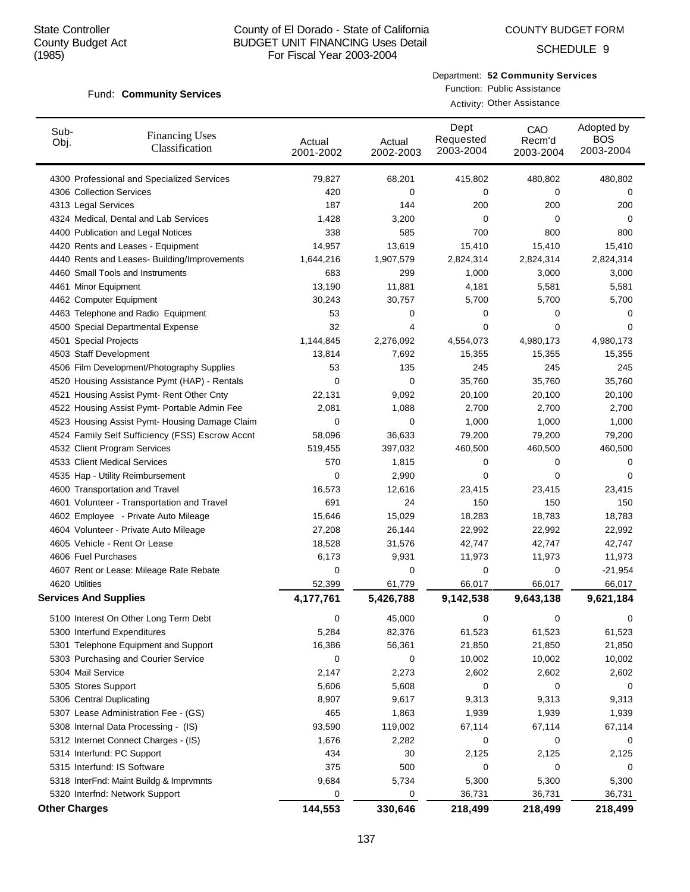Fund: Community Services

#### County of El Dorado - State of California BUDGET UNIT FINANCING Uses Detail For Fiscal Year 2003-2004

SCHEDULE 9

## Department: **52 Community Services**

Function: Public Assistance Activity: Other Assistance

| Sub-<br>Obj. | <b>Financing Uses</b><br>Classification                               | Actual<br>2001-2002 | Actual<br>2002-2003 | Dept<br>Requested<br>2003-2004 | CAO<br>Recm'd<br>2003-2004 | Adopted by<br><b>BOS</b><br>2003-2004 |
|--------------|-----------------------------------------------------------------------|---------------------|---------------------|--------------------------------|----------------------------|---------------------------------------|
|              | 4300 Professional and Specialized Services                            | 79,827              | 68,201              | 415,802                        | 480,802                    | 480,802                               |
|              | 4306 Collection Services                                              | 420                 | 0                   | 0                              | 0                          | 0                                     |
|              | 4313 Legal Services                                                   | 187                 | 144                 | 200                            | 200                        | 200                                   |
|              | 4324 Medical, Dental and Lab Services                                 | 1,428               | 3,200               | 0                              | 0                          | 0                                     |
|              | 4400 Publication and Legal Notices                                    | 338                 | 585                 | 700                            | 800                        | 800                                   |
|              | 4420 Rents and Leases - Equipment                                     | 14,957              | 13,619              | 15,410                         | 15,410                     | 15,410                                |
|              | 4440 Rents and Leases- Building/Improvements                          | 1,644,216           | 1,907,579           | 2,824,314                      | 2,824,314                  | 2,824,314                             |
|              | 4460 Small Tools and Instruments                                      | 683                 | 299                 | 1,000                          | 3,000                      | 3,000                                 |
|              | 4461 Minor Equipment                                                  | 13,190              | 11,881              | 4,181                          | 5,581                      | 5,581                                 |
|              | 4462 Computer Equipment                                               | 30,243              | 30,757              | 5,700                          | 5,700                      | 5,700                                 |
|              | 4463 Telephone and Radio Equipment                                    | 53                  | 0                   | 0                              | 0                          | 0                                     |
|              | 4500 Special Departmental Expense                                     | 32                  | 4                   | 0                              | 0                          | 0                                     |
|              | 4501 Special Projects                                                 | 1,144,845           | 2,276,092           | 4,554,073                      | 4,980,173                  | 4,980,173                             |
|              | 4503 Staff Development                                                | 13,814              | 7,692               | 15,355                         | 15,355                     | 15,355                                |
|              | 4506 Film Development/Photography Supplies                            | 53                  | 135                 | 245                            | 245                        | 245                                   |
|              | 4520 Housing Assistance Pymt (HAP) - Rentals                          | 0                   | 0                   | 35,760                         | 35,760                     | 35,760                                |
|              | 4521 Housing Assist Pymt- Rent Other Cnty                             | 22,131              | 9,092               | 20,100                         | 20,100                     | 20,100                                |
|              | 4522 Housing Assist Pymt- Portable Admin Fee                          | 2,081               | 1,088               | 2,700                          | 2,700                      | 2,700                                 |
|              | 4523 Housing Assist Pymt- Housing Damage Claim                        | 0                   | 0                   | 1,000                          | 1,000                      | 1,000                                 |
|              | 4524 Family Self Sufficiency (FSS) Escrow Accnt                       | 58,096              | 36,633              | 79,200                         | 79,200                     | 79,200                                |
|              | 4532 Client Program Services                                          | 519,455             | 397,032             | 460,500                        | 460,500                    | 460,500                               |
|              | 4533 Client Medical Services                                          | 570                 | 1,815               | 0                              | 0                          | 0                                     |
|              | 4535 Hap - Utility Reimbursement                                      | 0                   | 2,990               | 0                              | 0                          | 0                                     |
|              | 4600 Transportation and Travel                                        | 16,573              | 12,616              | 23,415                         | 23,415                     | 23,415                                |
|              | 4601 Volunteer - Transportation and Travel                            | 691                 | 24                  | 150                            | 150                        | 150                                   |
|              | 4602 Employee - Private Auto Mileage                                  | 15,646              | 15,029              | 18,283                         | 18,783                     | 18,783                                |
|              | 4604 Volunteer - Private Auto Mileage<br>4605 Vehicle - Rent Or Lease | 27,208              | 26,144              | 22,992<br>42,747               | 22,992                     | 22,992<br>42,747                      |
|              | 4606 Fuel Purchases                                                   | 18,528<br>6,173     | 31,576              |                                | 42,747                     |                                       |
|              | 4607 Rent or Lease: Mileage Rate Rebate                               | 0                   | 9,931<br>0          | 11,973<br>0                    | 11,973<br>0                | 11,973<br>$-21,954$                   |
|              | 4620 Utilities                                                        | 52,399              | 61,779              | 66,017                         | 66,017                     | 66,017                                |
|              | <b>Services And Supplies</b>                                          | 4,177,761           | 5,426,788           | 9,142,538                      | 9,643,138                  | 9,621,184                             |
|              |                                                                       |                     |                     |                                |                            |                                       |
|              | 5100 Interest On Other Long Term Debt                                 | 0                   | 45,000              | 0                              | 0                          | 0                                     |
|              | 5300 Interfund Expenditures                                           | 5,284               | 82,376              | 61,523                         | 61,523                     | 61,523                                |
|              | 5301 Telephone Equipment and Support                                  | 16,386              | 56,361              | 21,850                         | 21,850                     | 21,850                                |
|              | 5303 Purchasing and Courier Service                                   | 0                   | 0                   | 10,002                         | 10,002                     | 10,002                                |
|              | 5304 Mail Service                                                     | 2,147               | 2,273               | 2,602                          | 2,602                      | 2,602                                 |
|              | 5305 Stores Support                                                   | 5,606               | 5,608               | 0                              | 0                          | 0                                     |
|              | 5306 Central Duplicating                                              | 8,907               | 9,617               | 9,313                          | 9,313                      | 9,313                                 |
|              | 5307 Lease Administration Fee - (GS)                                  | 465                 | 1,863               | 1,939                          | 1,939                      | 1,939                                 |
|              | 5308 Internal Data Processing - (IS)                                  | 93,590              | 119,002             | 67,114                         | 67,114                     | 67,114                                |
|              | 5312 Internet Connect Charges - (IS)                                  | 1,676               | 2,282               | 0                              | 0                          | 0                                     |
|              | 5314 Interfund: PC Support                                            | 434                 | 30                  | 2,125                          | 2,125                      | 2,125                                 |
|              | 5315 Interfund: IS Software                                           | 375                 | 500                 | 0                              | 0                          | 0                                     |
|              | 5318 InterFnd: Maint Buildg & Imprvmnts                               | 9,684               | 5,734               | 5,300                          | 5,300                      | 5,300                                 |
|              | 5320 Interfnd: Network Support                                        | 0                   | 0                   | 36,731                         | 36,731                     | 36,731                                |
|              | <b>Other Charges</b>                                                  | 144,553             | 330,646             | 218,499                        | 218,499                    | 218,499                               |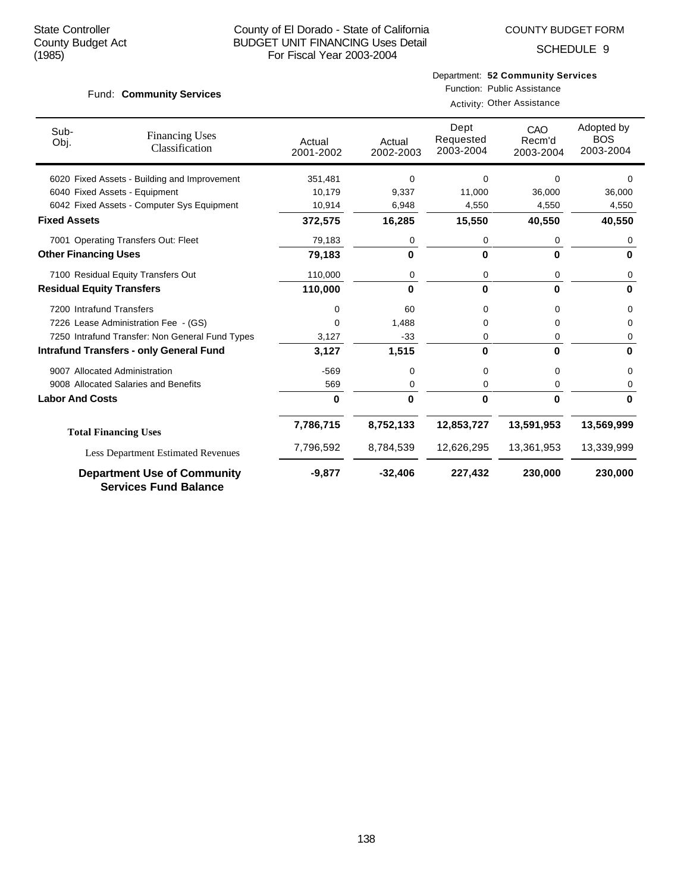SCHEDULE 9

#### Fund: Community Services

Function: Public Assistance Activity: Other Assistance

| Sub-<br>Obj.                                   | <b>Financing Uses</b><br>Classification                            | Actual<br>2001-2002 | Actual<br>2002-2003 | Dept<br>Requested<br>2003-2004 | CAO<br>Recm'd<br>2003-2004 | Adopted by<br><b>BOS</b><br>2003-2004 |
|------------------------------------------------|--------------------------------------------------------------------|---------------------|---------------------|--------------------------------|----------------------------|---------------------------------------|
|                                                | 6020 Fixed Assets - Building and Improvement                       | 351,481             | 0                   | 0                              | <sup>0</sup>               | n                                     |
|                                                | 6040 Fixed Assets - Equipment                                      | 10,179              | 9,337               | 11,000                         | 36,000                     | 36,000                                |
|                                                | 6042 Fixed Assets - Computer Sys Equipment                         | 10,914              | 6,948               | 4,550                          | 4,550                      | 4,550                                 |
| <b>Fixed Assets</b>                            |                                                                    | 372,575             | 16,285              | 15,550                         | 40,550                     | 40,550                                |
|                                                | 7001 Operating Transfers Out: Fleet                                | 79,183              | 0                   | 0                              | 0                          | 0                                     |
| <b>Other Financing Uses</b>                    |                                                                    | 79,183              | 0                   | 0                              | 0                          | $\bf{0}$                              |
|                                                | 7100 Residual Equity Transfers Out                                 | 110,000             | 0                   | 0                              | 0                          | 0                                     |
| <b>Residual Equity Transfers</b>               |                                                                    | 110,000             | $\bf{0}$            | $\bf{0}$                       | 0                          | $\bf{0}$                              |
| 7200 Intrafund Transfers                       |                                                                    | 0                   | 60                  | 0                              | 0                          | 0                                     |
|                                                | 7226 Lease Administration Fee - (GS)                               | $\Omega$            | 1,488               | 0                              | 0                          | 0                                     |
|                                                | 7250 Intrafund Transfer: Non General Fund Types                    | 3,127               | $-33$               | 0                              | 0                          | 0                                     |
| <b>Intrafund Transfers - only General Fund</b> |                                                                    | 3,127               | 1,515               | $\bf{0}$                       | 0                          | 0                                     |
|                                                | 9007 Allocated Administration                                      | $-569$              | 0                   | 0                              | 0                          | 0                                     |
|                                                | 9008 Allocated Salaries and Benefits                               | 569                 | 0                   | 0                              | 0                          | 0                                     |
| <b>Labor And Costs</b>                         |                                                                    | $\bf{0}$            | 0                   | $\bf{0}$                       | 0                          | 0                                     |
|                                                | <b>Total Financing Uses</b>                                        | 7,786,715           | 8,752,133           | 12,853,727                     | 13,591,953                 | 13,569,999                            |
|                                                | <b>Less Department Estimated Revenues</b>                          | 7,796,592           | 8,784,539           | 12,626,295                     | 13,361,953                 | 13,339,999                            |
|                                                | <b>Department Use of Community</b><br><b>Services Fund Balance</b> | $-9,877$            | $-32,406$           | 227,432                        | 230,000                    | 230,000                               |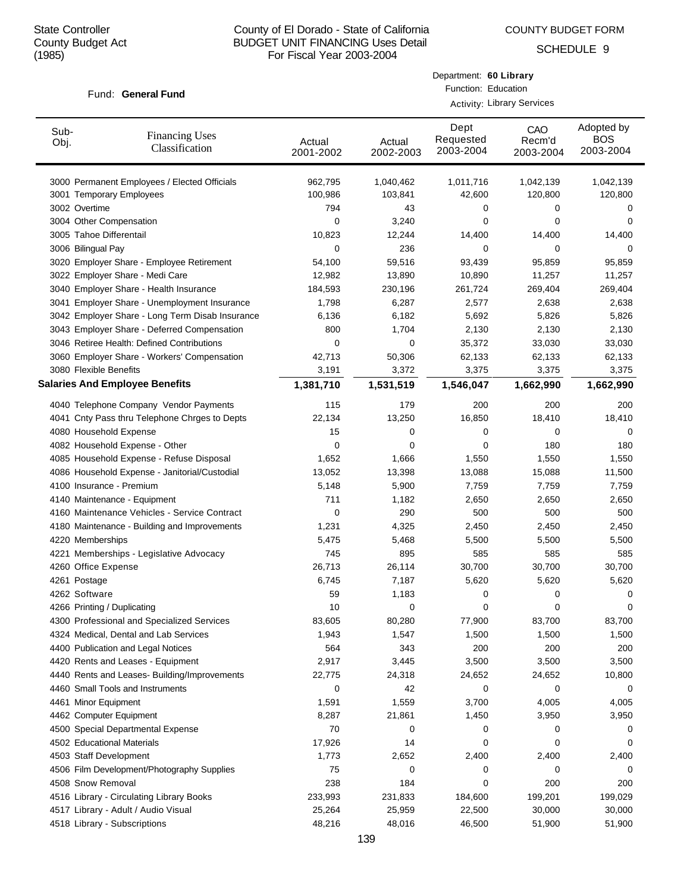COUNTY BUDGET FORM

Department: **60 Library** Function: Education

SCHEDULE 9

#### Fund: General Fund

|              |                                                 |                     | <b>Activity: Library Services</b> |                                |                            |                                       |  |  |  |
|--------------|-------------------------------------------------|---------------------|-----------------------------------|--------------------------------|----------------------------|---------------------------------------|--|--|--|
| Sub-<br>Obj. | <b>Financing Uses</b><br>Classification         | Actual<br>2001-2002 | Actual<br>2002-2003               | Dept<br>Requested<br>2003-2004 | CAO<br>Recm'd<br>2003-2004 | Adopted by<br><b>BOS</b><br>2003-2004 |  |  |  |
|              | 3000 Permanent Employees / Elected Officials    | 962,795             | 1,040,462                         | 1,011,716                      | 1,042,139                  | 1,042,139                             |  |  |  |
|              | 3001 Temporary Employees                        | 100,986             | 103,841                           | 42,600                         | 120,800                    | 120,800                               |  |  |  |
|              | 3002 Overtime                                   | 794                 | 43                                | 0                              | 0                          | 0                                     |  |  |  |
|              | 3004 Other Compensation                         | 0                   | 3,240                             | 0                              | 0                          | 0                                     |  |  |  |
|              | 3005 Tahoe Differentail                         | 10,823              | 12,244                            | 14,400                         | 14,400                     | 14,400                                |  |  |  |
|              | 3006 Bilingual Pay                              | 0                   | 236                               | 0                              | 0                          | 0                                     |  |  |  |
|              | 3020 Employer Share - Employee Retirement       | 54,100              | 59,516                            | 93,439                         | 95,859                     | 95,859                                |  |  |  |
|              | 3022 Employer Share - Medi Care                 | 12,982              | 13,890                            | 10,890                         | 11,257                     | 11,257                                |  |  |  |
|              | 3040 Employer Share - Health Insurance          | 184,593             | 230,196                           | 261,724                        | 269,404                    | 269,404                               |  |  |  |
|              | 3041 Employer Share - Unemployment Insurance    | 1,798               | 6,287                             | 2,577                          | 2,638                      | 2,638                                 |  |  |  |
|              | 3042 Employer Share - Long Term Disab Insurance | 6,136               | 6,182                             | 5,692                          | 5,826                      | 5,826                                 |  |  |  |
|              | 3043 Employer Share - Deferred Compensation     | 800                 | 1,704                             | 2,130                          | 2,130                      | 2,130                                 |  |  |  |
|              | 3046 Retiree Health: Defined Contributions      | 0                   | 0                                 | 35,372                         | 33,030                     | 33,030                                |  |  |  |
|              | 3060 Employer Share - Workers' Compensation     | 42,713              | 50,306                            | 62,133                         | 62,133                     | 62,133                                |  |  |  |
|              | 3080 Flexible Benefits                          | 3,191               | 3,372                             | 3,375                          | 3,375                      | 3,375                                 |  |  |  |
|              | <b>Salaries And Employee Benefits</b>           | 1,381,710           | 1,531,519                         | 1,546,047                      | 1,662,990                  | 1,662,990                             |  |  |  |
|              | 4040 Telephone Company Vendor Payments          | 115                 | 179                               | 200                            | 200                        | 200                                   |  |  |  |
|              | 4041 Cnty Pass thru Telephone Chrges to Depts   | 22,134              | 13,250                            | 16,850                         | 18,410                     | 18,410                                |  |  |  |
|              | 4080 Household Expense                          | 15                  | 0                                 | 0                              | 0                          | 0                                     |  |  |  |
|              | 4082 Household Expense - Other                  | 0                   | 0                                 | 0                              | 180                        | 180                                   |  |  |  |
|              | 4085 Household Expense - Refuse Disposal        | 1,652               | 1,666                             | 1,550                          | 1,550                      | 1,550                                 |  |  |  |
|              | 4086 Household Expense - Janitorial/Custodial   | 13,052              | 13,398                            | 13,088                         | 15,088                     | 11,500                                |  |  |  |
|              | 4100 Insurance - Premium                        | 5,148               | 5,900                             | 7,759                          | 7,759                      | 7,759                                 |  |  |  |
|              | 4140 Maintenance - Equipment                    | 711                 | 1,182                             | 2,650                          | 2,650                      | 2,650                                 |  |  |  |
|              | 4160 Maintenance Vehicles - Service Contract    | 0                   | 290                               | 500                            | 500                        | 500                                   |  |  |  |
|              | 4180 Maintenance - Building and Improvements    | 1,231               | 4,325                             | 2,450                          | 2,450                      | 2,450                                 |  |  |  |
|              | 4220 Memberships                                | 5,475               | 5,468                             | 5,500                          | 5,500                      | 5,500                                 |  |  |  |
|              | 4221 Memberships - Legislative Advocacy         | 745                 | 895                               | 585                            | 585                        | 585                                   |  |  |  |
|              | 4260 Office Expense                             | 26,713              | 26,114                            | 30,700                         | 30,700                     | 30,700                                |  |  |  |
|              | 4261 Postage                                    | 6,745               | 7,187                             | 5,620                          | 5,620                      | 5,620                                 |  |  |  |
|              | 4262 Software                                   | 59                  | 1,183                             | 0                              | 0                          | 0                                     |  |  |  |
|              | 4266 Printing / Duplicating                     | 10                  | O                                 | 0                              | O                          | 0                                     |  |  |  |
|              | 4300 Professional and Specialized Services      | 83,605              | 80,280                            | 77,900                         | 83,700                     | 83,700                                |  |  |  |
|              | 4324 Medical, Dental and Lab Services           | 1,943               | 1,547                             | 1,500                          | 1,500                      | 1,500                                 |  |  |  |
|              | 4400 Publication and Legal Notices              | 564                 | 343                               | 200                            | 200                        | 200                                   |  |  |  |
|              | 4420 Rents and Leases - Equipment               | 2,917               | 3,445                             | 3,500                          | 3,500                      | 3,500                                 |  |  |  |
|              | 4440 Rents and Leases- Building/Improvements    | 22,775              | 24,318                            | 24,652                         | 24,652                     | 10,800                                |  |  |  |
|              | 4460 Small Tools and Instruments                | 0                   | 42                                | 0                              | 0                          | 0                                     |  |  |  |
|              | 4461 Minor Equipment                            | 1,591               | 1,559                             | 3,700                          | 4,005                      | 4,005                                 |  |  |  |
|              | 4462 Computer Equipment                         | 8,287               | 21,861                            | 1,450                          | 3,950                      | 3,950                                 |  |  |  |
|              | 4500 Special Departmental Expense               | 70                  | 0                                 | 0                              | 0                          | 0                                     |  |  |  |
|              | 4502 Educational Materials                      | 17,926              | 14                                | 0                              | 0                          | 0                                     |  |  |  |
|              | 4503 Staff Development                          | 1,773               | 2,652                             | 2,400                          | 2,400                      | 2,400                                 |  |  |  |
|              | 4506 Film Development/Photography Supplies      | 75                  | 0                                 | 0                              | 0                          | 0                                     |  |  |  |
|              | 4508 Snow Removal                               | 238                 | 184                               | 0                              | 200                        | 200                                   |  |  |  |
|              | 4516 Library - Circulating Library Books        | 233,993             | 231,833                           | 184,600                        | 199,201                    | 199,029                               |  |  |  |
|              | 4517 Library - Adult / Audio Visual             | 25,264              | 25,959                            | 22,500                         | 30,000                     | 30,000                                |  |  |  |
|              | 4518 Library - Subscriptions                    | 48,216              | 48,016                            | 46,500                         | 51,900                     | 51,900                                |  |  |  |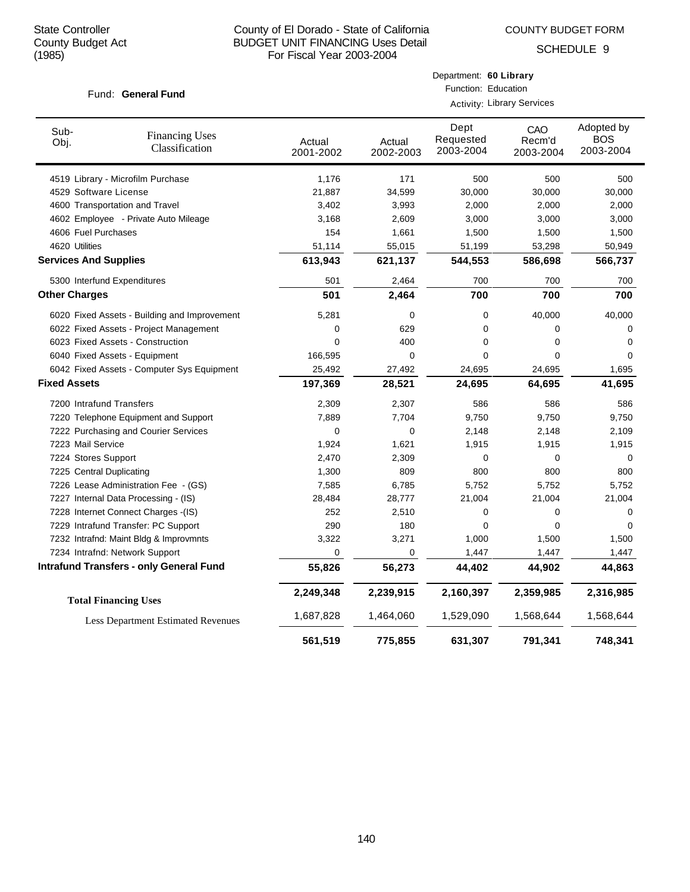COUNTY BUDGET FORM

Department: **60 Library**

SCHEDULE 9

| Fund: General Fund           |                                                |                     | Function: Education               |                                |                            |                                |  |
|------------------------------|------------------------------------------------|---------------------|-----------------------------------|--------------------------------|----------------------------|--------------------------------|--|
|                              |                                                |                     | <b>Activity: Library Services</b> |                                |                            |                                |  |
| Sub-<br>Obj.                 | <b>Financing Uses</b><br>Classification        | Actual<br>2001-2002 | Actual<br>2002-2003               | Dept<br>Requested<br>2003-2004 | CAO<br>Recm'd<br>2003-2004 | Adopted by<br>BOS<br>2003-2004 |  |
|                              | 4519 Library - Microfilm Purchase              | 1,176               | 171                               | 500                            | 500                        | 500                            |  |
| 4529 Software License        |                                                | 21,887              | 34,599                            | 30,000                         | 30,000                     | 30,000                         |  |
|                              | 4600 Transportation and Travel                 | 3,402               | 3,993                             | 2,000                          | 2,000                      | 2,000                          |  |
|                              | 4602 Employee - Private Auto Mileage           | 3,168               | 2,609                             | 3,000                          | 3,000                      | 3,000                          |  |
| 4606 Fuel Purchases          |                                                | 154                 | 1,661                             | 1,500                          | 1,500                      | 1,500                          |  |
| 4620 Utilities               |                                                | 51,114              | 55,015                            | 51,199                         | 53,298                     | 50,949                         |  |
| <b>Services And Supplies</b> |                                                | 613,943             | 621,137                           | 544,553                        | 586,698                    | 566,737                        |  |
|                              | 5300 Interfund Expenditures                    | 501                 | 2,464                             | 700                            | 700                        | 700                            |  |
| <b>Other Charges</b>         |                                                | 501                 | 2,464                             | 700                            | 700                        | 700                            |  |
|                              | 6020 Fixed Assets - Building and Improvement   | 5,281               | $\mathbf 0$                       | 0                              | 40,000                     | 40,000                         |  |
|                              | 6022 Fixed Assets - Project Management         | 0                   | 629                               | 0                              | 0                          | $\Omega$                       |  |
|                              | 6023 Fixed Assets - Construction               | 0                   | 400                               | 0                              | 0                          | 0                              |  |
|                              | 6040 Fixed Assets - Equipment                  | 166,595             | $\mathbf 0$                       | 0                              | 0                          | 0                              |  |
|                              | 6042 Fixed Assets - Computer Sys Equipment     | 25,492              | 27,492                            | 24,695                         | 24,695                     | 1,695                          |  |
| <b>Fixed Assets</b>          |                                                | 197,369             | 28,521                            | 24,695                         | 64,695                     | 41,695                         |  |
| 7200 Intrafund Transfers     |                                                | 2,309               | 2,307                             | 586                            | 586                        | 586                            |  |
|                              | 7220 Telephone Equipment and Support           | 7,889               | 7,704                             | 9,750                          | 9,750                      | 9,750                          |  |
|                              | 7222 Purchasing and Courier Services           | 0                   | $\mathbf 0$                       | 2,148                          | 2,148                      | 2,109                          |  |
| 7223 Mail Service            |                                                | 1,924               | 1,621                             | 1,915                          | 1,915                      | 1,915                          |  |
| 7224 Stores Support          |                                                | 2,470               | 2,309                             | 0                              | 0                          | 0                              |  |
| 7225 Central Duplicating     |                                                | 1,300               | 809                               | 800                            | 800                        | 800                            |  |
|                              | 7226 Lease Administration Fee - (GS)           | 7,585               | 6,785                             | 5,752                          | 5,752                      | 5,752                          |  |
|                              | 7227 Internal Data Processing - (IS)           | 28,484              | 28,777                            | 21,004                         | 21,004                     | 21,004                         |  |
|                              | 7228 Internet Connect Charges - (IS)           | 252                 | 2,510                             | 0                              | 0                          | 0                              |  |
|                              | 7229 Intrafund Transfer: PC Support            | 290                 | 180                               | 0                              | $\Omega$                   | 0                              |  |
|                              | 7232 Intrafnd: Maint Bldg & Improvmnts         | 3,322               | 3,271                             | 1,000                          | 1,500                      | 1,500                          |  |
|                              | 7234 Intrafnd: Network Support                 | 0                   | 0                                 | 1,447                          | 1,447                      | 1,447                          |  |
|                              | <b>Intrafund Transfers - only General Fund</b> | 55,826              | 56,273                            | 44,402                         | 44,902                     | 44,863                         |  |
|                              | <b>Total Financing Uses</b>                    | 2,249,348           | 2,239,915                         | 2,160,397                      | 2,359,985                  | 2,316,985                      |  |
|                              | Less Department Estimated Revenues             | 1,687,828           | 1,464,060                         | 1,529,090                      | 1,568,644                  | 1,568,644                      |  |
|                              |                                                | 561,519             | 775,855                           | 631,307                        | 791,341                    | 748,341                        |  |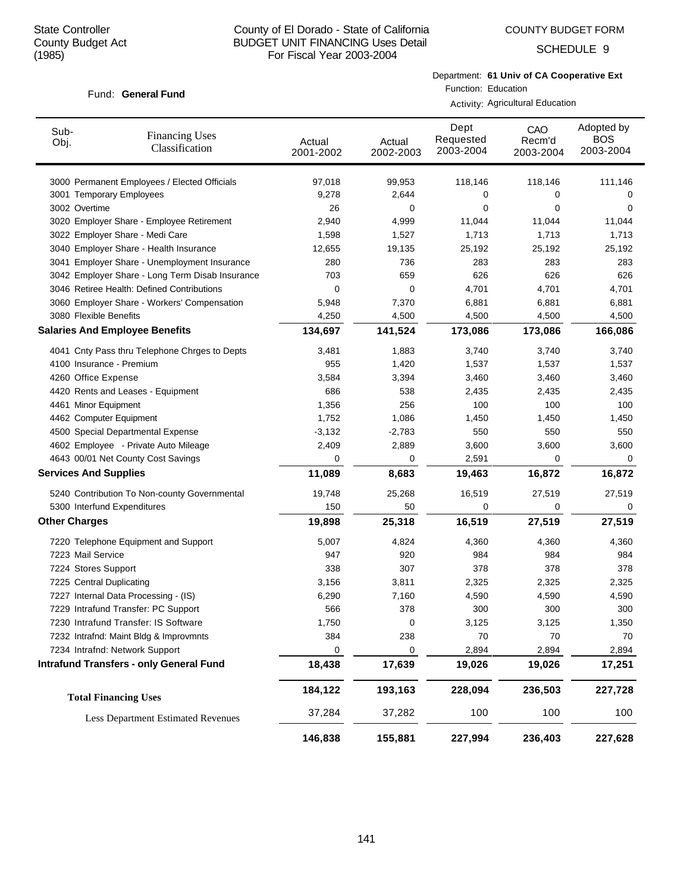Fund: General Fund

## County of El Dorado - State of California BUDGET UNIT FINANCING Uses Detail For Fiscal Year 2003-2004

SCHEDULE 9

#### Department: **61 Univ of CA Cooperative Ext** Function: Education

Activity: Agricultural Education

| Sub-<br>Obj.         | <b>Financing Uses</b><br>Classification         | Actual<br>2001-2002 | Actual<br>2002-2003 | Dept<br>Requested<br>2003-2004 | CAO<br>Recm'd<br>2003-2004 | Adopted by<br><b>BOS</b><br>2003-2004 |
|----------------------|-------------------------------------------------|---------------------|---------------------|--------------------------------|----------------------------|---------------------------------------|
|                      | 3000 Permanent Employees / Elected Officials    | 97,018              | 99,953              | 118,146                        | 118,146                    | 111,146                               |
|                      | 3001 Temporary Employees                        | 9,278               | 2,644               | 0                              | 0                          | 0                                     |
| 3002 Overtime        |                                                 | 26                  | 0                   | 0                              | 0                          | 0                                     |
|                      | 3020 Employer Share - Employee Retirement       | 2,940               | 4,999               | 11,044                         | 11,044                     | 11,044                                |
|                      | 3022 Employer Share - Medi Care                 | 1,598               | 1,527               | 1,713                          | 1,713                      | 1,713                                 |
|                      | 3040 Employer Share - Health Insurance          | 12,655              | 19,135              | 25,192                         | 25,192                     | 25,192                                |
|                      | 3041 Employer Share - Unemployment Insurance    | 280                 | 736                 | 283                            | 283                        | 283                                   |
|                      | 3042 Employer Share - Long Term Disab Insurance | 703                 | 659                 | 626                            | 626                        | 626                                   |
|                      | 3046 Retiree Health: Defined Contributions      | 0                   | 0                   | 4,701                          | 4,701                      | 4,701                                 |
|                      | 3060 Employer Share - Workers' Compensation     | 5,948               | 7,370               | 6,881                          | 6,881                      | 6,881                                 |
|                      | 3080 Flexible Benefits                          | 4,250               | 4,500               | 4,500                          | 4,500                      | 4,500                                 |
|                      | <b>Salaries And Employee Benefits</b>           | 134,697             | 141,524             | 173,086                        | 173,086                    | 166,086                               |
|                      | 4041 Cnty Pass thru Telephone Chrges to Depts   | 3,481               | 1,883               | 3,740                          | 3,740                      | 3,740                                 |
|                      | 4100 Insurance - Premium                        | 955                 | 1,420               | 1,537                          | 1,537                      | 1,537                                 |
|                      | 4260 Office Expense                             | 3,584               | 3,394               | 3,460                          | 3,460                      | 3,460                                 |
|                      | 4420 Rents and Leases - Equipment               | 686                 | 538                 | 2,435                          | 2,435                      | 2,435                                 |
|                      | 4461 Minor Equipment                            | 1,356               | 256                 | 100                            | 100                        | 100                                   |
|                      | 4462 Computer Equipment                         | 1,752               | 1,086               | 1,450                          | 1,450                      | 1,450                                 |
|                      | 4500 Special Departmental Expense               | $-3,132$            | $-2,783$            | 550                            | 550                        | 550                                   |
|                      | 4602 Employee - Private Auto Mileage            | 2,409               | 2,889               | 3,600                          | 3,600                      | 3,600                                 |
|                      | 4643 00/01 Net County Cost Savings              | 0                   | 0                   | 2,591                          | 0                          | 0                                     |
|                      | <b>Services And Supplies</b>                    | 11,089              | 8,683               | 19,463                         | 16,872                     | 16,872                                |
|                      | 5240 Contribution To Non-county Governmental    | 19,748              | 25,268              | 16,519                         | 27,519                     | 27,519                                |
|                      | 5300 Interfund Expenditures                     | 150                 | 50                  | 0                              | 0                          | 0                                     |
| <b>Other Charges</b> |                                                 | 19,898              | 25,318              | 16,519                         | 27,519                     | 27,519                                |
|                      | 7220 Telephone Equipment and Support            | 5,007               | 4,824               | 4,360                          | 4,360                      | 4,360                                 |
|                      | 7223 Mail Service                               | 947                 | 920                 | 984                            | 984                        | 984                                   |
|                      | 7224 Stores Support                             | 338                 | 307                 | 378                            | 378                        | 378                                   |
|                      | 7225 Central Duplicating                        | 3,156               | 3,811               | 2,325                          | 2,325                      | 2,325                                 |
|                      | 7227 Internal Data Processing - (IS)            | 6,290               | 7,160               | 4,590                          | 4,590                      | 4,590                                 |
|                      | 7229 Intrafund Transfer: PC Support             | 566                 | 378                 | 300                            | 300                        | 300                                   |
|                      | 7230 Intrafund Transfer: IS Software            | 1,750               | 0                   | 3,125                          | 3,125                      | 1,350                                 |
|                      | 7232 Intrafnd: Maint Bldg & Improvmnts          | 384                 | 238                 | 70                             | 70                         | 70                                    |
|                      | 7234 Intrafnd: Network Support                  | 0                   | 0                   | 2,894                          | 2,894                      | 2,894                                 |
|                      | <b>Intrafund Transfers - only General Fund</b>  | 18,438              | 17,639              | 19,026                         | 19,026                     | 17,251                                |
|                      | <b>Total Financing Uses</b>                     | 184,122             | 193,163             | 228,094                        | 236,503                    | 227,728                               |
|                      | <b>Less Department Estimated Revenues</b>       | 37,284              | 37,282              | 100                            | 100                        | 100                                   |
|                      |                                                 | 146,838             | 155,881             | 227,994                        | 236,403                    | 227,628                               |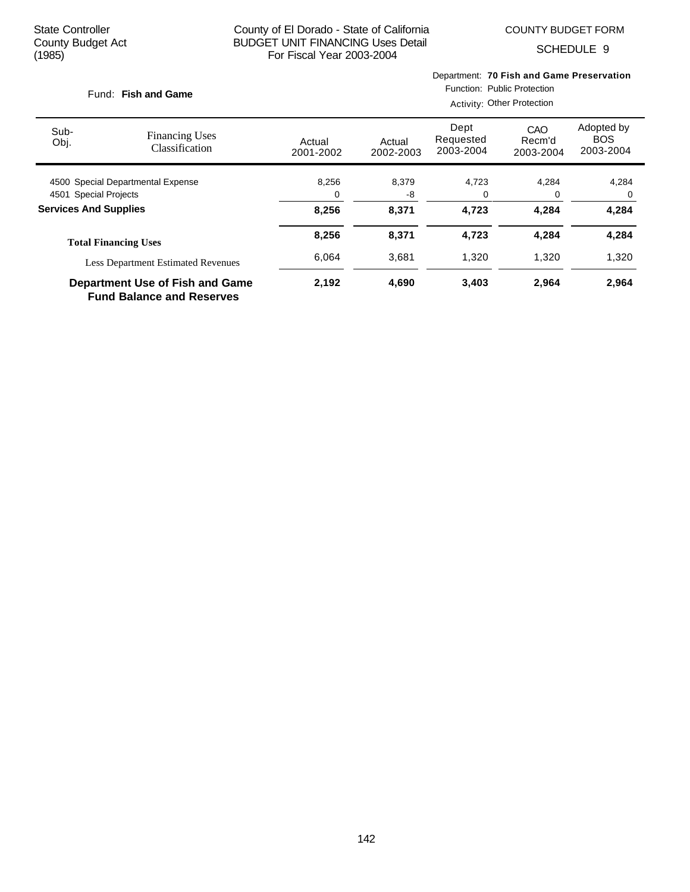COUNTY BUDGET FORM

SCHEDULE 9

|                                                                     | Fund: Fish and Game                       |                     | Department: 70 Fish and Game Preservation<br>Function: Public Protection<br>Activity: Other Protection |                                |                            |                                       |  |  |
|---------------------------------------------------------------------|-------------------------------------------|---------------------|--------------------------------------------------------------------------------------------------------|--------------------------------|----------------------------|---------------------------------------|--|--|
| Sub-<br>Obj.                                                        | <b>Financing Uses</b><br>Classification   | Actual<br>2001-2002 | Actual<br>2002-2003                                                                                    | Dept<br>Requested<br>2003-2004 | CAO<br>Recm'd<br>2003-2004 | Adopted by<br><b>BOS</b><br>2003-2004 |  |  |
| 4500 Special Departmental Expense                                   |                                           | 8,256               | 8,379                                                                                                  | 4,723                          | 4,284                      | 4,284                                 |  |  |
| 4501 Special Projects                                               |                                           | 0                   | -8                                                                                                     | 0                              | 0                          | 0                                     |  |  |
| <b>Services And Supplies</b>                                        |                                           | 8,256               | 8,371                                                                                                  | 4,723                          | 4,284                      | 4,284                                 |  |  |
|                                                                     | <b>Total Financing Uses</b>               | 8,256               | 8,371                                                                                                  | 4,723                          | 4,284                      | 4,284                                 |  |  |
|                                                                     | <b>Less Department Estimated Revenues</b> | 6,064               | 3,681                                                                                                  | 1,320                          | 1,320                      | 1,320                                 |  |  |
| Department Use of Fish and Game<br><b>Fund Balance and Reserves</b> |                                           | 2,192               | 4,690                                                                                                  | 3,403                          | 2,964                      | 2,964                                 |  |  |

142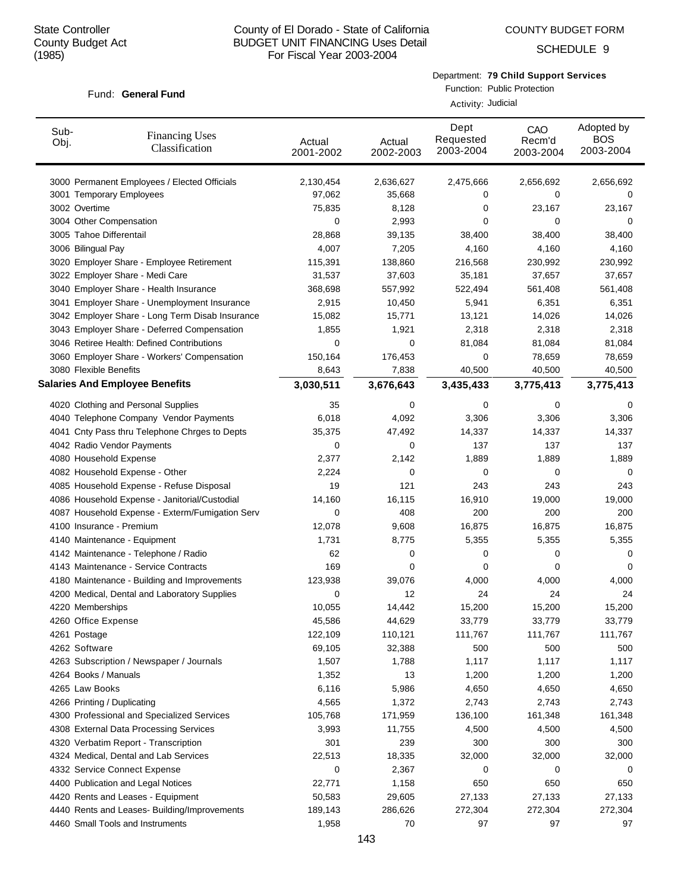Fund: General Fund

## County of El Dorado - State of California BUDGET UNIT FINANCING Uses Detail For Fiscal Year 2003-2004

SCHEDULE 9

## Department: **79 Child Support Services**

Function: Public Protection

|              |                                                 | Activity: Judicial  |                     |                                |                            |                                       |  |  |
|--------------|-------------------------------------------------|---------------------|---------------------|--------------------------------|----------------------------|---------------------------------------|--|--|
| Sub-<br>Obj. | <b>Financing Uses</b><br>Classification         | Actual<br>2001-2002 | Actual<br>2002-2003 | Dept<br>Requested<br>2003-2004 | CAO<br>Recm'd<br>2003-2004 | Adopted by<br><b>BOS</b><br>2003-2004 |  |  |
|              | 3000 Permanent Employees / Elected Officials    | 2,130,454           | 2,636,627           | 2,475,666                      | 2,656,692                  | 2,656,692                             |  |  |
|              | 3001 Temporary Employees                        | 97,062              | 35,668              | 0                              | 0                          | 0                                     |  |  |
|              | 3002 Overtime                                   | 75,835              | 8,128               | 0                              | 23,167                     | 23,167                                |  |  |
|              | 3004 Other Compensation                         | 0                   | 2,993               | 0                              | 0                          | 0                                     |  |  |
|              | 3005 Tahoe Differentail                         | 28,868              | 39,135              | 38,400                         | 38,400                     | 38,400                                |  |  |
|              | 3006 Bilingual Pay                              | 4,007               | 7,205               | 4,160                          | 4,160                      | 4,160                                 |  |  |
|              | 3020 Employer Share - Employee Retirement       | 115,391             | 138,860             | 216,568                        | 230,992                    | 230,992                               |  |  |
|              | 3022 Employer Share - Medi Care                 | 31,537              | 37,603              | 35,181                         | 37,657                     | 37,657                                |  |  |
|              | 3040 Employer Share - Health Insurance          | 368,698             | 557,992             | 522,494                        | 561,408                    | 561,408                               |  |  |
|              | 3041 Employer Share - Unemployment Insurance    | 2,915               | 10,450              | 5,941                          | 6,351                      | 6,351                                 |  |  |
|              | 3042 Employer Share - Long Term Disab Insurance | 15,082              | 15,771              | 13,121                         | 14,026                     | 14,026                                |  |  |
|              | 3043 Employer Share - Deferred Compensation     | 1,855               | 1,921               | 2,318                          | 2,318                      | 2,318                                 |  |  |
|              | 3046 Retiree Health: Defined Contributions      | 0                   | 0                   | 81,084                         | 81,084                     | 81,084                                |  |  |
|              | 3060 Employer Share - Workers' Compensation     | 150,164             | 176,453             | 0                              | 78,659                     | 78,659                                |  |  |
|              | 3080 Flexible Benefits                          | 8,643               | 7,838               | 40,500                         | 40,500                     | 40,500                                |  |  |
|              | <b>Salaries And Employee Benefits</b>           | 3,030,511           | 3,676,643           | 3,435,433                      | 3,775,413                  | 3,775,413                             |  |  |
|              | 4020 Clothing and Personal Supplies             | 35                  | 0                   | 0                              | 0                          | 0                                     |  |  |
|              | 4040 Telephone Company Vendor Payments          | 6,018               | 4,092               | 3,306                          | 3,306                      | 3,306                                 |  |  |
|              | 4041 Cnty Pass thru Telephone Chrges to Depts   | 35,375              | 47,492              | 14,337                         | 14,337                     | 14,337                                |  |  |
|              | 4042 Radio Vendor Payments                      | 0                   | 0                   | 137                            | 137                        | 137                                   |  |  |
|              | 4080 Household Expense                          | 2,377               | 2,142               | 1,889                          | 1,889                      | 1,889                                 |  |  |
|              | 4082 Household Expense - Other                  | 2,224               | 0                   | 0                              | 0                          | 0                                     |  |  |
|              | 4085 Household Expense - Refuse Disposal        | 19                  | 121                 | 243                            | 243                        | 243                                   |  |  |
|              | 4086 Household Expense - Janitorial/Custodial   | 14,160              | 16,115              | 16,910                         | 19,000                     | 19,000                                |  |  |
|              | 4087 Household Expense - Exterm/Fumigation Serv | 0                   | 408                 | 200                            | 200                        | 200                                   |  |  |
|              | 4100 Insurance - Premium                        | 12,078              | 9,608               | 16,875                         | 16,875                     | 16,875                                |  |  |
|              | 4140 Maintenance - Equipment                    | 1,731               | 8,775               | 5,355                          | 5,355                      | 5,355                                 |  |  |
|              | 4142 Maintenance - Telephone / Radio            | 62                  | 0                   | 0                              | 0                          | 0                                     |  |  |
|              | 4143 Maintenance - Service Contracts            | 169                 | 0                   | 0                              | 0                          | 0                                     |  |  |
|              | 4180 Maintenance - Building and Improvements    | 123,938             | 39,076              | 4,000                          | 4,000                      | 4,000                                 |  |  |
|              | 4200 Medical, Dental and Laboratory Supplies    | 0                   | 12                  | 24                             | 24                         | 24                                    |  |  |
|              | 4220 Memberships                                | 10,055              | 14,442              | 15,200                         | 15,200                     | 15,200                                |  |  |
|              | 4260 Office Expense                             | 45,586              | 44,629              | 33,779                         | 33,779                     | 33,779                                |  |  |
|              | 4261 Postage                                    | 122,109             | 110,121             | 111,767                        | 111,767                    | 111,767                               |  |  |
|              | 4262 Software                                   | 69,105              | 32,388              | 500                            | 500                        | 500                                   |  |  |
|              | 4263 Subscription / Newspaper / Journals        | 1,507               | 1,788               | 1,117                          | 1,117                      | 1,117                                 |  |  |
|              | 4264 Books / Manuals                            | 1,352               | 13                  | 1,200                          | 1,200                      | 1,200                                 |  |  |
|              | 4265 Law Books                                  | 6,116               | 5,986               | 4,650                          | 4,650                      | 4,650                                 |  |  |
|              | 4266 Printing / Duplicating                     | 4,565               | 1,372               | 2,743                          | 2,743                      | 2,743                                 |  |  |
|              | 4300 Professional and Specialized Services      | 105,768             | 171,959             | 136,100                        | 161,348                    | 161,348                               |  |  |
|              | 4308 External Data Processing Services          | 3,993               | 11,755              | 4,500                          | 4,500                      | 4,500                                 |  |  |
|              | 4320 Verbatim Report - Transcription            | 301                 | 239                 | 300                            | 300                        | 300                                   |  |  |
|              | 4324 Medical, Dental and Lab Services           | 22,513              | 18,335              | 32,000                         | 32,000                     | 32,000                                |  |  |
|              | 4332 Service Connect Expense                    | 0                   | 2,367               | 0                              | 0                          | 0                                     |  |  |
|              | 4400 Publication and Legal Notices              | 22,771              | 1,158               | 650                            | 650                        | 650                                   |  |  |
|              | 4420 Rents and Leases - Equipment               | 50,583              | 29,605              | 27,133                         | 27,133                     | 27,133                                |  |  |
|              | 4440 Rents and Leases- Building/Improvements    | 189,143             | 286,626             | 272,304                        | 272,304                    | 272,304                               |  |  |
|              | 4460 Small Tools and Instruments                | 1,958               | 70                  | 97                             | 97                         | 97                                    |  |  |